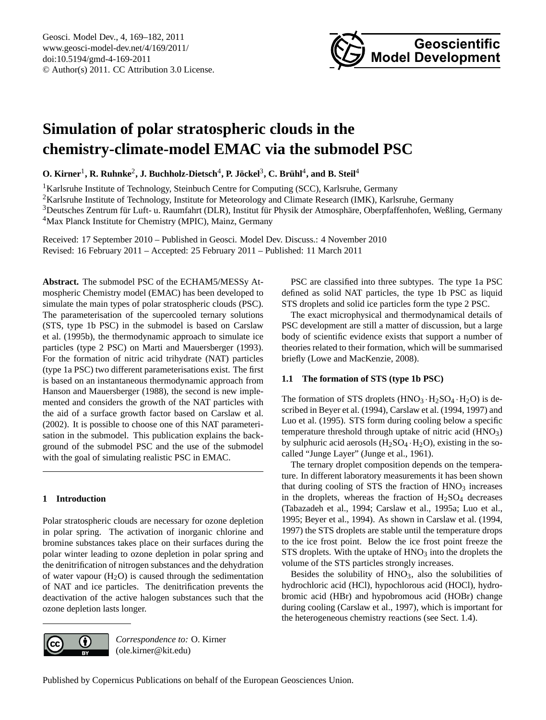

# <span id="page-0-0"></span>**Simulation of polar stratospheric clouds in the chemistry-climate-model EMAC via the submodel PSC**

 $\bf{O. Kirner}^1$ ,  $\bf{R. Ruhnke}^2$ ,  $\bf{J. Buchholz-Dietsch}^4$ ,  $\bf{P. Jöckel}^3$ ,  $\bf{C. Brüh}^4$ , and  $\bf{B. Steil}^4$ 

<sup>1</sup>Karlsruhe Institute of Technology, Steinbuch Centre for Computing (SCC), Karlsruhe, Germany

<sup>2</sup>Karlsruhe Institute of Technology, Institute for Meteorology and Climate Research (IMK), Karlsruhe, Germany

<sup>3</sup>Deutsches Zentrum für Luft- u. Raumfahrt (DLR), Institut für Physik der Atmosphäre, Oberpfaffenhofen, Weßling, Germany <sup>4</sup>Max Planck Institute for Chemistry (MPIC), Mainz, Germany

Received: 17 September 2010 – Published in Geosci. Model Dev. Discuss.: 4 November 2010 Revised: 16 February 2011 – Accepted: 25 February 2011 – Published: 11 March 2011

**Abstract.** The submodel PSC of the ECHAM5/MESSy Atmospheric Chemistry model (EMAC) has been developed to simulate the main types of polar stratospheric clouds (PSC). The parameterisation of the supercooled ternary solutions (STS, type 1b PSC) in the submodel is based on [Carslaw](#page-11-0) [et al. \(1995b\)](#page-11-0), the thermodynamic approach to simulate ice particles (type 2 PSC) on [Marti and Mauersberger](#page-12-0) [\(1993\)](#page-12-0). For the formation of nitric acid trihydrate (NAT) particles (type 1a PSC) two different parameterisations exist. The first is based on an instantaneous thermodynamic approach from [Hanson and Mauersberger \(1988\)](#page-12-1), the second is new implemented and considers the growth of the NAT particles with the aid of a surface growth factor based on [Carslaw et al.](#page-11-1) [\(2002\)](#page-11-1). It is possible to choose one of this NAT parameterisation in the submodel. This publication explains the background of the submodel PSC and the use of the submodel with the goal of simulating realistic PSC in EMAC.

# **1 Introduction**

Polar stratospheric clouds are necessary for ozone depletion in polar spring. The activation of inorganic chlorine and bromine substances takes place on their surfaces during the polar winter leading to ozone depletion in polar spring and the denitrification of nitrogen substances and the dehydration of water vapour  $(H<sub>2</sub>O)$  is caused through the sedimentation of NAT and ice particles. The denitrification prevents the deactivation of the active halogen substances such that the ozone depletion lasts longer.

PSC are classified into three subtypes. The type 1a PSC defined as solid NAT particles, the type 1b PSC as liquid STS droplets and solid ice particles form the type 2 PSC.

The exact microphysical and thermodynamical details of PSC development are still a matter of discussion, but a large body of scientific evidence exists that support a number of theories related to their formation, which will be summarised briefly [\(Lowe and MacKenzie, 2008\)](#page-12-2).

# **1.1 The formation of STS (type 1b PSC)**

The formation of STS droplets  $(HNO<sub>3</sub>·H<sub>2</sub>SO<sub>4</sub>·H<sub>2</sub>O)$  is described in [Beyer et al.](#page-11-2) [\(1994\)](#page-11-2), [Carslaw et al. \(1994,](#page-11-3) [1997\)](#page-11-4) and [Luo et al.](#page-12-3) [\(1995\)](#page-12-3). STS form during cooling below a specific temperature threshold through uptake of nitric acid (HNO<sub>3</sub>) by sulphuric acid aerosols  $(H_2SO_4 \cdot H_2O)$ , existing in the socalled "Junge Layer" [\(Junge et al., 1961\)](#page-12-4).

The ternary droplet composition depends on the temperature. In different laboratory measurements it has been shown that during cooling of STS the fraction of  $HNO<sub>3</sub>$  increases in the droplets, whereas the fraction of  $H<sub>2</sub>SO<sub>4</sub>$  decreases [\(Tabazadeh et al., 1994;](#page-13-0) [Carslaw et al., 1995a;](#page-11-5) [Luo et al.,](#page-12-3) [1995;](#page-12-3) [Beyer et al., 1994\)](#page-11-2). As shown in [Carslaw et al.](#page-11-3) [\(1994,](#page-11-3) [1997\)](#page-11-4) the STS droplets are stable until the temperature drops to the ice frost point. Below the ice frost point freeze the  $STS$  droplets. With the uptake of  $HNO<sub>3</sub>$  into the droplets the volume of the STS particles strongly increases.

Besides the solubility of  $HNO<sub>3</sub>$ , also the solubilities of hydrochloric acid (HCl), hypochlorous acid (HOCl), hydrobromic acid (HBr) and hypobromous acid (HOBr) change during cooling [\(Carslaw et al., 1997\)](#page-11-4), which is important for the heterogeneous chemistry reactions (see Sect. [1.4\)](#page-1-0).



*Correspondence to:* O. Kirner (ole.kirner@kit.edu)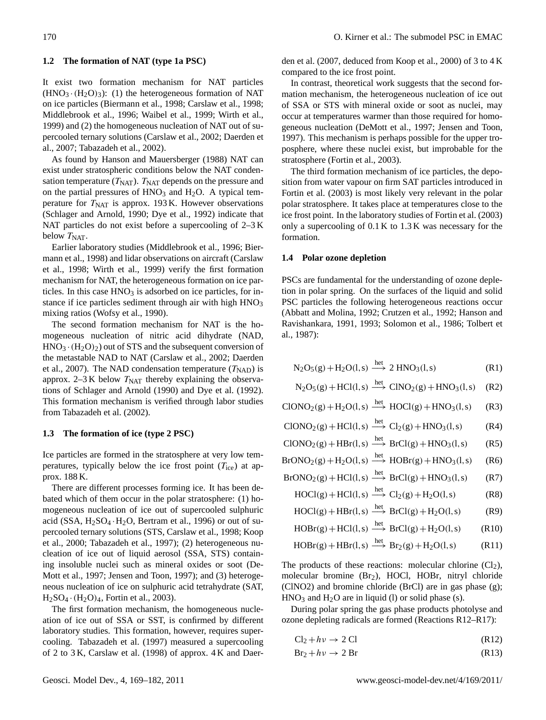## <span id="page-1-1"></span>**1.2 The formation of NAT (type 1a PSC)**

It exist two formation mechanism for NAT particles  $(HNO<sub>3</sub>·(H<sub>2</sub>O)<sub>3</sub>)$ : (1) the heterogeneous formation of NAT on ice particles [\(Biermann et al., 1998;](#page-11-6) [Carslaw et al., 1998;](#page-11-7) [Middlebrook et al., 1996;](#page-12-5) [Waibel et al., 1999;](#page-13-1) [Wirth et al.,](#page-13-2) [1999\)](#page-13-2) and (2) the homogeneous nucleation of NAT out of supercooled ternary solutions [\(Carslaw et al., 2002;](#page-11-1) [Daerden et](#page-12-6) [al., 2007;](#page-12-6) [Tabazadeh et al., 2002\)](#page-13-3).

As found by [Hanson and Mauersberger](#page-12-1) [\(1988\)](#page-12-1) NAT can exist under stratospheric conditions below the NAT condensation temperature  $(T<sub>NAT</sub>)$ .  $T<sub>NAT</sub>$  depends on the pressure and on the partial pressures of  $HNO<sub>3</sub>$  and  $H<sub>2</sub>O$ . A typical temperature for  $T<sub>NAT</sub>$  is approx. 193 K. However observations [\(Schlager and Arnold, 1990;](#page-13-4) [Dye et al., 1992\)](#page-12-7) indicate that NAT particles do not exist before a supercooling of 2–3 K below  $T<sub>NAT</sub>$ .

Earlier laboratory studies [\(Middlebrook et al., 1996;](#page-12-5) [Bier](#page-11-6)[mann et al., 1998\)](#page-11-6) and lidar observations on aircraft [\(Carslaw](#page-11-7) [et al., 1998;](#page-11-7) [Wirth et al., 1999\)](#page-13-2) verify the first formation mechanism for NAT, the heterogeneous formation on ice particles. In this case  $HNO<sub>3</sub>$  is adsorbed on ice particles, for instance if ice particles sediment through air with high  $HNO<sub>3</sub>$ mixing ratios [\(Wofsy et al., 1990\)](#page-13-5).

The second formation mechanism for NAT is the homogeneous nucleation of nitric acid dihydrate (NAD,  $HNO<sub>3</sub> \cdot (H<sub>2</sub>O)<sub>2</sub>$  out of STS and the subsequent conversion of the metastable NAD to NAT [\(Carslaw et al., 2002;](#page-11-1) [Daerden](#page-12-6) [et al., 2007\)](#page-12-6). The NAD condensation temperature  $(T_{\text{NAD}})$  is approx. 2–3 K below  $T<sub>NAT</sub>$  thereby explaining the observations of [Schlager and Arnold \(1990\)](#page-13-4) and [Dye et al.](#page-12-7) [\(1992\)](#page-12-7). This formation mechanism is verified through labor studies from [Tabazadeh et al. \(2002\)](#page-13-3).

#### <span id="page-1-2"></span>**1.3 The formation of ice (type 2 PSC)**

Ice particles are formed in the stratosphere at very low temperatures, typically below the ice frost point  $(T_{\text{ice}})$  at approx. 188 K.

There are different processes forming ice. It has been debated which of them occur in the polar stratosphere: (1) homogeneous nucleation of ice out of supercooled sulphuric acid (SSA,  $H_2SO_4 \cdot H_2O$ , [Bertram et al., 1996\)](#page-11-8) or out of supercooled ternary solutions (STS, [Carslaw et al., 1998;](#page-11-7) [Koop](#page-12-8) [et al., 2000;](#page-12-8) [Tabazadeh et al., 1997\)](#page-13-6); (2) heterogeneous nucleation of ice out of liquid aerosol (SSA, STS) containing insoluble nuclei such as mineral oxides or soot [\(De-](#page-12-9)[Mott et al., 1997;](#page-12-9) [Jensen and Toon, 1997\)](#page-12-10); and (3) heterogeneous nucleation of ice on sulphuric acid tetrahydrate (SAT,  $H_2SO_4 \cdot (H_2O)_4$ , [Fortin et al., 2003\)](#page-12-11).

The first formation mechanism, the homogeneous nucleation of ice out of SSA or SST, is confirmed by different laboratory studies. This formation, however, requires supercooling. [Tabazadeh et al. \(1997\)](#page-13-6) measured a supercooling of 2 to 3 K, [Carslaw et al. \(1998\)](#page-11-7) of approx. 4 K and [Daer-](#page-12-6) [den et al. \(2007,](#page-12-6) deduced from Koop et al., 2000) of 3 to 4 K compared to the ice frost point.

In contrast, theoretical work suggests that the second formation mechanism, the heterogeneous nucleation of ice out of SSA or STS with mineral oxide or soot as nuclei, may occur at temperatures warmer than those required for homogeneous nucleation [\(DeMott et al., 1997;](#page-12-9) [Jensen and Toon,](#page-12-10) [1997\)](#page-12-10). This mechanism is perhaps possible for the upper troposphere, where these nuclei exist, but improbable for the stratosphere [\(Fortin et al., 2003\)](#page-12-11).

The third formation mechanism of ice particles, the deposition from water vapour on firm SAT particles introduced in [Fortin et al. \(2003\)](#page-12-11) is most likely very relevant in the polar polar stratosphere. It takes place at temperatures close to the ice frost point. In the laboratory studies of [Fortin et al. \(2003\)](#page-12-11) only a supercooling of 0.1 K to 1.3 K was necessary for the formation.

#### <span id="page-1-0"></span>**1.4 Polar ozone depletion**

PSCs are fundamental for the understanding of ozone depletion in polar spring. On the surfaces of the liquid and solid PSC particles the following heterogeneous reactions occur [\(Abbatt and Molina, 1992;](#page-11-9) [Crutzen et al., 1992;](#page-11-10) [Hanson and](#page-12-12) [Ravishankara, 1991,](#page-12-12) [1993;](#page-12-13) [Solomon et al., 1986;](#page-13-7) [Tolbert et](#page-13-8) [al., 1987\)](#page-13-8):

$$
N_2O_5(g) + H_2O(l, s) \xrightarrow{het} 2 HNO_3(l, s)
$$
 (R1)

$$
N_2O_5(g) + HCl(1,s) \xrightarrow{het} ClNO_2(g) + HNO_3(1,s) \quad (R2)
$$

$$
CIONO2(g) + H2O(l, s) \xrightarrow{het} HOCI(g) + HNO3(l, s)
$$
 (R3)

$$
CIONO2(g) + HCl(1, s) \xrightarrow{het} Cl2(g) + HNO3(1, s)
$$
 (R4)

$$
CIONO2(g) + HBr(l, s) \xrightarrow{\text{het}} BrCl(g) + HNO3(l, s) \qquad (R5)
$$

het

$$
BrONO2(g) + H2O(l,s) \xrightarrow{\text{net}} HOBr(g) + HNO3(l,s) \qquad (R6)
$$

$$
BrONO_2(g) + HCl(l, s) \xrightarrow{\text{het}} BrCl(g) + HNO_3(l, s) \tag{R7}
$$

$$
HOCI(g) + HCl(I, s) \xrightarrow{net} Cl_2(g) + H_2O(I, s) \tag{R8}
$$

$$
HOCI(g) + HBr(l, s) \xrightarrow{\text{net}} BrCl(g) + H_2O(l, s) \tag{R9}
$$

$$
HOBr(g) + HCl(1, s) \xrightarrow{het} BrCl(g) + H_2O(1, s) \tag{R10}
$$

$$
HOBr(g) + HBr(l, s) \xrightarrow{het} Br_2(g) + H_2O(l, s) \tag{R11}
$$

The products of these reactions: molecular chlorine  $(Cl<sub>2</sub>)$ , molecular bromine  $(Br<sub>2</sub>)$ , HOCl, HOBr, nitryl chloride (ClNO2) and bromine chloride (BrCl) are in gas phase (g);  $HNO<sub>3</sub>$  and  $H<sub>2</sub>O$  are in liquid (l) or solid phase (s).

During polar spring the gas phase products photolyse and ozone depleting radicals are formed (Reactions [R12–R17\)](#page-1-0):

$$
Cl2 + h\nu \to 2 Cl
$$
 (R12)

$$
Br_2 + h\nu \to 2 Br \tag{R13}
$$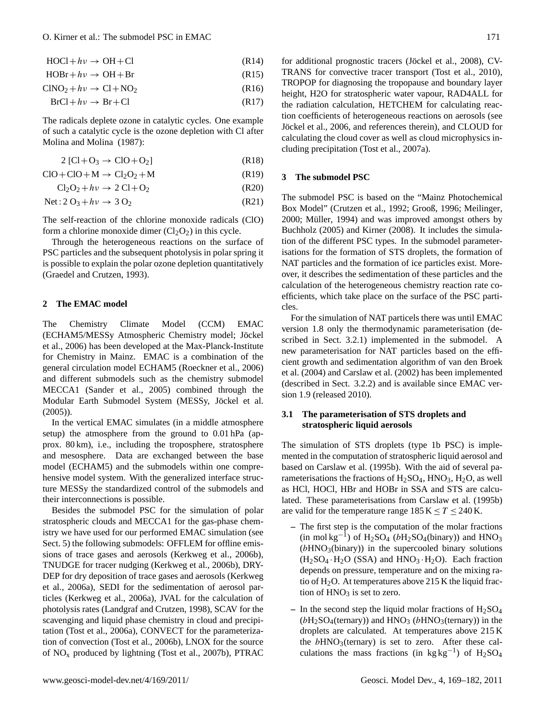## O. Kirner et al.: The submodel PSC in EMAC 171

 $HOC1 + hv \rightarrow OH + Cl$  (R14)

 $HOBr + hv \rightarrow OH + Br$  (R15)

 $CINO<sub>2</sub> + h\nu \rightarrow Cl + NO<sub>2</sub>$  (R16)

 $BrCl + hv \rightarrow Br + Cl$  (R17)

The radicals deplete ozone in catalytic cycles. One example of such a catalytic cycle is the ozone depletion with Cl after [Molina and Molina](#page-13-9) [\(1987\)](#page-13-9):

$$
2 [Cl + O3 \rightarrow ClO + O2] \tag{R18}
$$

 $ClO+ClO+M \rightarrow Cl<sub>2</sub>O<sub>2</sub>+M$  (R19)

 $Cl_2O_2 + hv \rightarrow 2 Cl + O_2$  (R20)

$$
Net: 2 O_3 + hv \rightarrow 3 O_2 \tag{R21}
$$

The self-reaction of the chlorine monoxide radicals (ClO) form a chlorine monoxide dimer  $(Cl_2O_2)$  in this cycle.

Through the heterogeneous reactions on the surface of PSC particles and the subsequent photolysis in polar spring it is possible to explain the polar ozone depletion quantitatively [\(Graedel and Crutzen, 1993\)](#page-12-14).

#### **2 The EMAC model**

The Chemistry Climate Model (CCM) EMAC (ECHAM5/MESSy Atmospheric Chemistry model; Jöckel [et al., 2006\)](#page-12-15) has been developed at the Max-Planck-Institute for Chemistry in Mainz. EMAC is a combination of the general circulation model ECHAM5 [\(Roeckner et al., 2006\)](#page-13-10) and different submodels such as the chemistry submodel MECCA1 [\(Sander et al., 2005\)](#page-13-11) combined through the Modular Earth Submodel System (MESSy, Jöckel et al. [\(2005\)](#page-12-16)).

In the vertical EMAC simulates (in a middle atmosphere setup) the atmosphere from the ground to 0.01 hPa (approx. 80 km), i.e., including the troposphere, stratosphere and mesosphere. Data are exchanged between the base model (ECHAM5) and the submodels within one comprehensive model system. With the generalized interface structure MESSy the standardized control of the submodels and their interconnections is possible.

Besides the submodel PSC for the simulation of polar stratospheric clouds and MECCA1 for the gas-phase chemistry we have used for our performed EMAC simulation (see Sect. [5\)](#page-11-11) the following submodels: OFFLEM for offline emissions of trace gases and aerosols [\(Kerkweg et al., 2006b\)](#page-12-17), TNUDGE for tracer nudging [\(Kerkweg et al., 2006b\)](#page-12-17), DRY-DEP for dry deposition of trace gases and aerosols [\(Kerkweg](#page-12-18) [et al., 2006a\)](#page-12-18), SEDI for the sedimentation of aerosol particles [\(Kerkweg et al., 2006a\)](#page-12-18), JVAL for the calculation of photolysis rates [\(Landgraf and Crutzen, 1998\)](#page-12-19), SCAV for the scavenging and liquid phase chemistry in cloud and precipitation [\(Tost et al., 2006a\)](#page-13-12), CONVECT for the parameterization of convection [\(Tost et al., 2006b\)](#page-13-13), LNOX for the source of  $NO<sub>x</sub>$  produced by lightning [\(Tost et al., 2007b\)](#page-13-14), PTRAC for additional prognostic tracers (Jöckel et al., 2008), CV-TRANS for convective tracer transport [\(Tost et al., 2010\)](#page-13-15), TROPOP for diagnosing the tropopause and boundary layer height, H2O for stratospheric water vapour, RAD4ALL for the radiation calculation, HETCHEM for calculating reaction coefficients of heterogeneous reactions on aerosols (see Jöckel et al., 2006, and references therein), and CLOUD for calculating the cloud cover as well as cloud microphysics including precipitation [\(Tost et al., 2007a\)](#page-13-16).

#### **3 The submodel PSC**

The submodel PSC is based on the "Mainz Photochemical Box Model" [\(Crutzen et al., 1992;](#page-11-10) [Grooß, 1996;](#page-12-21) [Meilinger,](#page-12-22) [2000;](#page-12-22) Müller, 1994) and was improved amongst others by [Buchholz](#page-11-12) [\(2005\)](#page-11-12) and [Kirner](#page-12-23) [\(2008\)](#page-12-23). It includes the simulation of the different PSC types. In the submodel parameterisations for the formation of STS droplets, the formation of NAT particles and the formation of ice particles exist. Moreover, it describes the sedimentation of these particles and the calculation of the heterogeneous chemistry reaction rate coefficients, which take place on the surface of the PSC particles.

For the simulation of NAT particels there was until EMAC version 1.8 only the thermodynamic parameterisation (described in Sect. [3.2.1\)](#page-3-0) implemented in the submodel. A new parameterisation for NAT particles based on the efficient growth and sedimentation algorithm of [van den Broek](#page-13-18) [et al. \(2004\)](#page-13-18) and [Carslaw et al. \(2002\)](#page-11-1) has been implemented (described in Sect. [3.2.2\)](#page-4-0) and is available since EMAC version 1.9 (released 2010).

## **3.1 The parameterisation of STS droplets and stratospheric liquid aerosols**

The simulation of STS droplets (type 1b PSC) is implemented in the computation of stratospheric liquid aerosol and based on [Carslaw et al.](#page-11-0) [\(1995b\)](#page-11-0). With the aid of several parameterisations the fractions of  $H_2SO_4$ ,  $HNO_3$ ,  $H_2O$ , as well as HCl, HOCl, HBr and HOBr in SSA and STS are calculated. These parameterisations from [Carslaw et al. \(1995b\)](#page-11-0) are valid for the temperature range  $185 \text{ K} \leq T \leq 240 \text{ K}$ .

- **–** The first step is the computation of the molar fractions (in mol kg<sup>-1</sup>) of H<sub>2</sub>SO<sub>4</sub> ( $bH_2SO_4$ (binary)) and HNO<sub>3</sub>  $(bHNO<sub>3</sub>(binary))$  in the supercooled binary solutions  $(H_2SO_4 \cdot H_2O$  (SSA) and  $HNO_3 \cdot H_2O$ ). Each fraction depends on pressure, temperature and on the mixing ratio of  $H_2O$ . At temperatures above 215 K the liquid fraction of  $HNO<sub>3</sub>$  is set to zero.
- In the second step the liquid molar fractions of  $H_2SO_4$  $(bH<sub>2</sub>SO<sub>4</sub>(ternary))$  and  $HNO<sub>3</sub>(bHNO<sub>3</sub>(ternary))$  in the droplets are calculated. At temperatures above 215 K the  $bHNO<sub>3</sub>(ternary)$  is set to zero. After these calculations the mass fractions (in kg kg<sup>-1</sup>) of H<sub>2</sub>SO<sub>4</sub>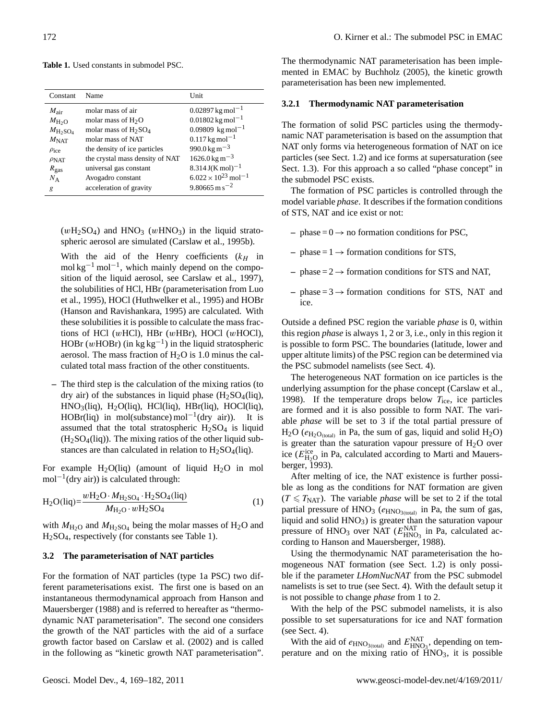<span id="page-3-1"></span>

|  |  | <b>Table 1.</b> Used constants in submodel PSC. |  |
|--|--|-------------------------------------------------|--|
|  |  |                                                 |  |

| Constant                    | Name                                         | Unit                                     |
|-----------------------------|----------------------------------------------|------------------------------------------|
| $M_{\text{air}}$            | molar mass of air                            | $0.02897$ kg mol <sup>-1</sup>           |
| $M_{\text{H}_2\text{O}}$    | molar mass of $H_2O$                         | $0.01802$ kg mol <sup>-1</sup>           |
| $M_{\text{H}_2\text{SO}_4}$ | molar mass of H <sub>2</sub> SO <sub>4</sub> | $0.09809 \text{ kg mol}^{-1}$            |
| $M_{\rm NAT}$               | molar mass of NAT                            | $0.117$ kg mol <sup>-1</sup>             |
| $\rho_{ice}$                | the density of ice particles                 | $990.0 \,\mathrm{kg} \,\mathrm{m}^{-3}$  |
| $\rho_{\text{NAT}}$         | the crystal mass density of NAT              | $1626.0 \,\mathrm{kg} \,\mathrm{m}^{-3}$ |
| $R_{\rm gas}$               | universal gas constant                       | $8.314 J(K \text{ mol})^{-1}$            |
| $N_A$                       | Avogadro constant                            | $6.022 \times 10^{23}$ mol <sup>-1</sup> |
| g                           | acceleration of gravity                      | $9.80665 \text{ m s}^{-2}$               |

 $(wH_2SO_4)$  and  $HNO_3$   $(wHNO_3)$  in the liquid stratospheric aerosol are simulated [\(Carslaw et al., 1995b\)](#page-11-0).

With the aid of the Henry coefficients  $(k_H)$  in mol kg<sup>-1</sup> mol<sup>-1</sup>, which mainly depend on the composition of the liquid aerosol, see [Carslaw et al., 1997\)](#page-11-4), the solubilities of HCl, HBr (parameterisation from [Luo](#page-12-3) [et al., 1995\)](#page-12-3), HOCl [\(Huthwelker et al., 1995\)](#page-12-24) and HOBr [\(Hanson and Ravishankara, 1995\)](#page-12-25) are calculated. With these solubilities it is possible to calculate the mass fractions of HCl ( $w$ HCl), HBr ( $w$ HBr), HOCl ( $w$ HOCl), HOBr (wHOBr) (in kg kg<sup>-1</sup>) in the liquid stratospheric aerosol. The mass fraction of  $H_2O$  is 1.0 minus the calculated total mass fraction of the other constituents.

**–** The third step is the calculation of the mixing ratios (to dry air) of the substances in liquid phase  $(H_2SO_4(iq),$  $HNO<sub>3</sub>(liq)$ ,  $H<sub>2</sub>O(liq)$ ,  $HCl(liq)$ ,  $HBr(liq)$ ,  $HOCl(liq)$ , HOBr(liq) in mol(substance) mol<sup>-1</sup>(dry air)). It is assumed that the total stratospheric  $H<sub>2</sub>SO<sub>4</sub>$  is liquid  $(H<sub>2</sub>SO<sub>4</sub>(liq))$ . The mixing ratios of the other liquid substances are than calculated in relation to  $H_2SO_4(\text{liq}).$ 

For example  $H_2O(iq)$  (amount of liquid  $H_2O$  in mol mol<sup>-1</sup>(dry air)) is calculated through:

$$
H_2O(iq) = \frac{wH_2O \cdot M_{H_2SO_4} \cdot H_2SO_4(iq)}{M_{H_2O} \cdot wH_2SO_4}
$$
 (1)

with  $M_{\text{H}_2\text{O}}$  and  $M_{\text{H}_2\text{SO}_4}$  being the molar masses of  $\text{H}_2\text{O}$  and H2SO4, respectively (for constants see Table [1\)](#page-3-1).

#### **3.2 The parameterisation of NAT particles**

For the formation of NAT particles (type 1a PSC) two different parameterisations exist. The first one is based on an instantaneous thermodynamical approach from [Hanson and](#page-12-1) [Mauersberger \(1988\)](#page-12-1) and is referred to hereafter as "thermodynamic NAT parameterisation". The second one considers the growth of the NAT particles with the aid of a surface growth factor based on [Carslaw et al. \(2002\)](#page-11-1) and is called in the following as "kinetic growth NAT parameterisation".

The thermodynamic NAT parameterisation has been implemented in EMAC by [Buchholz \(2005\)](#page-11-12), the kinetic growth parameterisation has been new implemented.

#### <span id="page-3-0"></span>**3.2.1 Thermodynamic NAT parameterisation**

The formation of solid PSC particles using the thermodynamic NAT parameterisation is based on the assumption that NAT only forms via heterogeneous formation of NAT on ice particles (see Sect. [1.2\)](#page-1-1) and ice forms at supersaturation (see Sect. [1.3\)](#page-1-2). For this approach a so called "phase concept" in the submodel PSC exists.

The formation of PSC particles is controlled through the model variable *phase*. It describes if the formation conditions of STS, NAT and ice exist or not:

- $-$  phase  $= 0 \rightarrow$  no formation conditions for PSC,
- $phase = 1 \rightarrow$  formation conditions for STS,
- $-$  phase =  $2 \rightarrow$  formation conditions for STS and NAT,
- $-$  phase  $= 3 \rightarrow$  formation conditions for STS, NAT and ice.

Outside a defined PSC region the variable *phase* is 0, within this region *phase* is always 1, 2 or 3, i.e., only in this region it is possible to form PSC. The boundaries (latitude, lower and upper altitute limits) of the PSC region can be determined via the PSC submodel namelists (see Sect. [4\)](#page-9-0).

The heterogeneous NAT formation on ice particles is the underlying assumption for the phase concept [\(Carslaw et al.,](#page-11-7) [1998\)](#page-11-7). If the temperature drops below  $T_{\text{ice}}$ , ice particles are formed and it is also possible to form NAT. The variable *phase* will be set to 3 if the total partial pressure of  $H_2O$  ( $e_{H_2O_{\text{total}}}$ ) in Pa, the sum of gas, liquid and solid  $H_2O$ ) is greater than the saturation vapour pressure of  $H<sub>2</sub>O$  over ice ( $E_{\text{H}_2\text{Q}}^{\text{ice}}$  in Pa, calculated according to [Marti and Mauers](#page-12-0)[berger, 1993\)](#page-12-0).

After melting of ice, the NAT existence is further possible as long as the conditions for NAT formation are given  $(T \leq T<sub>NAT</sub>)$ . The variable *phase* will be set to 2 if the total partial pressure of  $HNO<sub>3</sub>$  ( $e_{HNO<sub>3(total</sub>)}$  in Pa, the sum of gas, liquid and solid  $HNO<sub>3</sub>$ ) is greater than the saturation vapour pressure of  $HNO<sub>3</sub>$  over NAT  $(E_{HNO<sub>3</sub>]}^{NAT}$  in Pa, calculated according to [Hanson and Mauersberger, 1988\)](#page-12-1).

Using the thermodynamic NAT parameterisation the homogeneous NAT formation (see Sect. [1.2\)](#page-1-1) is only possible if the parameter *LHomNucNAT* from the PSC submodel namelists is set to true (see Sect. [4\)](#page-9-0). With the default setup it is not possible to change *phase* from 1 to 2.

With the help of the PSC submodel namelists, it is also possible to set supersaturations for ice and NAT formation (see Sect. [4\)](#page-9-0).

With the aid of  $e_{HNO_3(\text{total})}$  and  $E_{HNO_3}^{NAT}$ , depending on temperature and on the mixing ratio of  $\text{HNO}_3$ , it is possible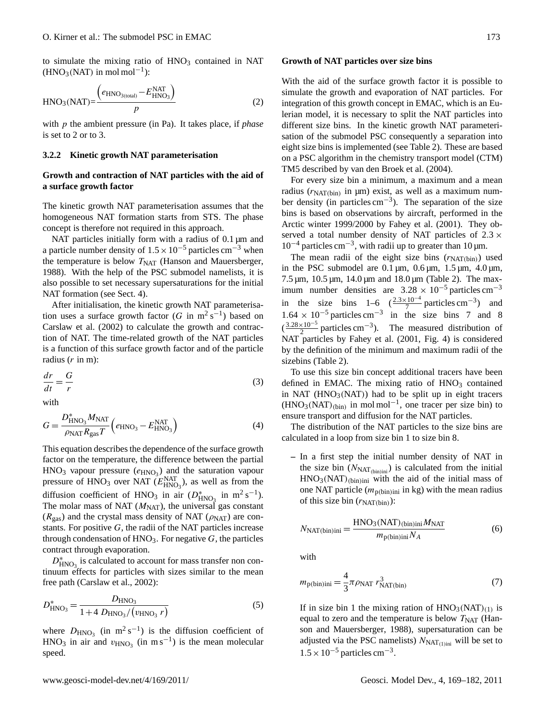to simulate the mixing ratio of  $HNO<sub>3</sub>$  contained in NAT  $(HNO<sub>3</sub>(NAT)$  in mol mol<sup>-1</sup>):

<span id="page-4-4"></span>
$$
HNO3(NAT) = \frac{\left(e_{HNO3(total)} - E_{HNO3}^{NAT}\right)}{p}
$$
 (2)

with p the ambient pressure (in Pa). It takes place, if *phase* is set to 2 or to 3.

## <span id="page-4-0"></span>**3.2.2 Kinetic growth NAT parameterisation**

## **Growth and contraction of NAT particles with the aid of a surface growth factor**

The kinetic growth NAT parameterisation assumes that the homogeneous NAT formation starts from STS. The phase concept is therefore not required in this approach.

NAT particles initially form with a radius of  $0.1 \,\mu m$  and a particle number density of  $1.5 \times 10^{-5}$  particles cm<sup>-3</sup> when the temperature is below  $T<sub>NAT</sub>$  [\(Hanson and Mauersberger,](#page-12-1) [1988\)](#page-12-1). With the help of the PSC submodel namelists, it is also possible to set necessary supersaturations for the initial NAT formation (see Sect. [4\)](#page-9-0).

After initialisation, the kinetic growth NAT parameterisation uses a surface growth factor (G in  $m^2 s^{-1}$ ) based on [Carslaw et al.](#page-11-1) [\(2002\)](#page-11-1) to calculate the growth and contraction of NAT. The time-related growth of the NAT particles is a function of this surface growth factor and of the particle radius  $(r \text{ in } m)$ :

<span id="page-4-1"></span>
$$
\frac{dr}{dt} = \frac{G}{r} \tag{3}
$$

with

<span id="page-4-2"></span>
$$
G = \frac{D_{\text{HNO}_3}^* M_{\text{NAT}}}{\rho_{\text{NAT}} R_{\text{gas}} T} \left( e_{\text{HNO}_3} - E_{\text{HNO}_3}^{\text{NAT}} \right)
$$
(4)

This equation describes the dependence of the surface growth factor on the temperature, the difference between the partial  $HNO<sub>3</sub>$  vapour pressure  $(e<sub>HNO<sub>3</sub></sub>)$  and the saturation vapour pressure of HNO<sub>3</sub> over NAT  $(E_{HNO_3}^{NAT})$ , as well as from the diffusion coefficient of HNO<sub>3</sub> in air  $(D<sup>*</sup><sub>HNO3</sub>$  in m<sup>2</sup> s<sup>-1</sup>). The molar mass of NAT  $(M<sub>NAT</sub>)$ , the universal gas constant  $(R<sub>gas</sub>)$  and the crystal mass density of NAT ( $\rho<sub>NAT</sub>$ ) are constants. For positive  $G$ , the radii of the NAT particles increase through condensation of  $HNO<sub>3</sub>$ . For negative G, the particles contract through evaporation.

 $D_{\text{HNO}_3}^*$  is calculated to account for mass transfer non continuum effects for particles with sizes similar to the mean free path [\(Carslaw et al., 2002\)](#page-11-1):

$$
D_{\rm HNO_3}^* = \frac{D_{\rm HNO_3}}{1 + 4 \ D_{\rm HNO_3}/(v_{\rm HNO_3} r)} \tag{5}
$$

where  $D_{\text{HNO}_3}$  (in m<sup>2</sup> s<sup>-1</sup>) is the diffusion coefficient of  $HNO<sub>3</sub>$  in air and  $v<sub>HNO<sub>3</sub></sub>$  (in ms<sup>-1</sup>) is the mean molecular speed.

#### **Growth of NAT particles over size bins**

With the aid of the surface growth factor it is possible to simulate the growth and evaporation of NAT particles. For integration of this growth concept in EMAC, which is an Eulerian model, it is necessary to split the NAT particles into different size bins. In the kinetic growth NAT parameterisation of the submodel PSC consequently a separation into eight size bins is implemented (see Table [2\)](#page-5-0). These are based on a PSC algorithm in the chemistry transport model (CTM) TM5 described by [van den Broek et al. \(2004\)](#page-13-18).

For every size bin a minimum, a maximum and a mean radius ( $r_{\text{NAT(bin)}}$  in  $\mu$ m) exist, as well as a maximum number density (in particles cm<sup>-3</sup>). The separation of the size bins is based on observations by aircraft, performed in the Arctic winter 1999/2000 by [Fahey et al. \(2001\)](#page-12-26). They observed a total number density of NAT particles of  $2.3 \times$ 10−<sup>4</sup> particles cm−<sup>3</sup> , with radii up to greater than 10 µm.

The mean radii of the eight size bins  $(r_{\text{NAT(bin)}})$  used in the PSC submodel are  $0.1 \,\mu$ m,  $0.6 \,\mu$ m,  $1.5 \,\mu$ m,  $4.0 \,\mu$ m,  $7.5 \,\mu m$ ,  $10.5 \,\mu m$ ,  $14.0 \,\mu m$  and  $18.0 \,\mu m$  (Table [2\)](#page-5-0). The maximum number densities are  $3.28 \times 10^{-5}$  particles cm<sup>-3</sup> in the size bins  $1-6 \left( \frac{2.3 \times 10^{-4}}{7} \right)$  particles cm<sup>-3</sup>) and  $1.64 \times 10^{-5}$  particles cm<sup>-3</sup> in the size bins 7 and 8  $\left(\frac{3.28 \times 10^{-5}}{2} \text{ particles cm}^{-3}\right)$ . The measured distribution of NAT particles by [Fahey et al.](#page-12-26) [\(2001,](#page-12-26) Fig. 4) is considered by the definition of the minimum and maximum radii of the sizebins (Table [2\)](#page-5-0).

To use this size bin concept additional tracers have been defined in EMAC. The mixing ratio of  $HNO<sub>3</sub>$  contained in NAT ( $HNO<sub>3</sub>(NAT)$ ) had to be split up in eight tracers  $(HNO<sub>3</sub>(NAT)<sub>(bin)</sub>$  in mol mol<sup>-1</sup>, one tracer per size bin) to ensure transport and diffusion for the NAT particles.

The distribution of the NAT particles to the size bins are calculated in a loop from size bin 1 to size bin 8.

**–** In a first step the initial number density of NAT in the size bin  $(N<sub>NAT(bin)ini</sub>)$  is calculated from the initial  $HNO<sub>3</sub>(NAT)_{(bin)ini}$  with the aid of the initial mass of one NAT particle  $(m_{p(hin)inj}$  in kg) with the mean radius of this size bin  $(r_{\text{NAT(bin)}})$ :

$$
N_{\text{NAT(bin)ini}} = \frac{\text{HNO}_3(\text{NAT})_{\text{(bin)ini}} M_{\text{NAT}}}{m_{\text{p(bin)ini}} N_A}
$$
(6)

with

<span id="page-4-3"></span>
$$
m_{\text{p(bin)}\text{ini}} = \frac{4}{3}\pi \rho_{\text{NAT}} r_{\text{NAT(bin)}}^3 \tag{7}
$$

If in size bin 1 the mixing ration of  $HNO<sub>3</sub>(NAT)<sub>(1)</sub>$  is equal to zero and the temperature is below  $T<sub>NAT</sub>$  [\(Han](#page-12-1)[son and Mauersberger, 1988\)](#page-12-1), supersaturation can be adjusted via the PSC namelists)  $N_{\text{NAT}_{(1)}$  will be set to  $1.5 \times 10^{-5}$  particles cm<sup>-3</sup>.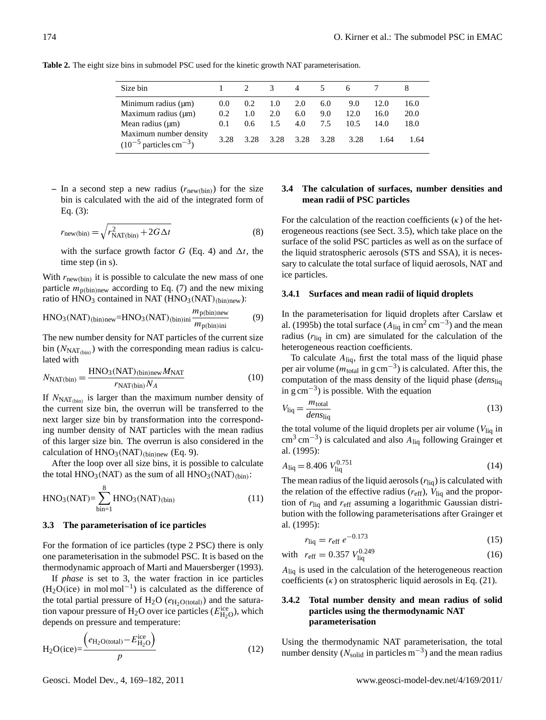<span id="page-5-0"></span>**Table 2.** The eight size bins in submodel PSC used for the kinetic growth NAT parameterisation.

| Size bin                                                          |               |               | 3             | 4    | 5    |      |      |      |
|-------------------------------------------------------------------|---------------|---------------|---------------|------|------|------|------|------|
| Minimum radius $(\mu m)$                                          | $0.0^{\circ}$ | $0.2^{\circ}$ | 1.0           | 2.0  | 6.0  | 9.0  | 12.0 | 16.0 |
| Maximum radius $(\mu m)$                                          | 0.2           | 1.0           | 2.0           | 6.0  | 9.0  | 12.0 | 16.0 | 20.0 |
| Mean radius $(\mu m)$                                             | 0.1           | $0.6^{\circ}$ | $1.5^{\circ}$ | 4.0  | 7.5  | 10.5 | 14.0 | 18.0 |
| Maximum number density<br>$(10^{-5}$ particles cm <sup>-3</sup> ) | 3.28          | 3.28          | 3.28          | 3.28 | 3.28 | 3.28 | 1.64 | 1.64 |

– In a second step a new radius  $(r_{\text{new(bin)}})$  for the size bin is calculated with the aid of the integrated form of Eq. [\(3\)](#page-4-1):

$$
r_{\text{new(bin)}} = \sqrt{r_{\text{NAT(bin)}}^2 + 2G\Delta t}
$$
 (8)

with the surface growth factor G (Eq. [4\)](#page-4-2) and  $\Delta t$ , the time step (in s).

With  $r_{\text{new(bin)}}$  it is possible to calculate the new mass of one particle  $m_{\text{p(bin)new}}$  according to Eq. [\(7\)](#page-4-3) and the new mixing ratio of  $HNO<sub>3</sub>$  contained in NAT  $(HNO<sub>3</sub>(NAT)<sub>(bin)new</sub>)$ :

<span id="page-5-1"></span>
$$
HNO3(NAT)(bin)new=HNO3(NAT)(bin)ini \frac{m_{p(bin)new}}{m_{p(bin)ini}}
$$
 (9)

The new number density for NAT particles of the current size bin  $(N<sub>NAT(bin</sub>)$  with the corresponding mean radius is calculated with

$$
N_{\text{NAT(bin)}} = \frac{\text{HNO}_3(\text{NAT})_{\text{(bin)new}} M_{\text{NAT}}}{r_{\text{NAT(bin)}} N_A}
$$
(10)

If  $N_{\text{NAT}_{\text{(bin)}}}$  is larger than the maximum number density of the current size bin, the overrun will be transferred to the next larger size bin by transformation into the corresponding number density of NAT particles with the mean radius of this larger size bin. The overrun is also considered in the calculation of  $HNO<sub>3</sub>(NAT)_{(bin)new}$  (Eq. [9\)](#page-5-1).

After the loop over all size bins, it is possible to calculate the total  $HNO<sub>3</sub>(NAT)$  as the sum of all  $HNO<sub>3</sub>(NAT)_{(bin)}$ :

$$
HNO3(NAT) = \sum_{\text{bin}=1}^{8} HNO3(NAT)_{\text{(bin)}}
$$
 (11)

#### **3.3 The parameterisation of ice particles**

For the formation of ice particles (type 2 PSC) there is only one parameterisation in the submodel PSC. It is based on the thermodynamic approach of [Marti and Mauersberger](#page-12-0) [\(1993\)](#page-12-0).

If *phase* is set to 3, the water fraction in ice particles  $(H_2O(ice)$  in mol mol<sup>-1</sup>) is calculated as the difference of the total partial pressure of  $H_2O$  ( $e_{H_2O(total)}$ ) and the saturation vapour pressure of H<sub>2</sub>O over ice particles ( $E_{\text{H}_2\text{O}}^{\text{ice}}$ ), which depends on pressure and temperature:

<span id="page-5-2"></span>
$$
H_2O(\text{ice}) = \frac{\left(e_{H_2O(\text{total})} - E_{H_2O}^{\text{ice}}\right)}{p} \tag{12}
$$

## **3.4 The calculation of surfaces, number densities and mean radii of PSC particles**

For the calculation of the reaction coefficients  $(\kappa)$  of the heterogeneous reactions (see Sect. [3.5\)](#page-6-0), which take place on the surface of the solid PSC particles as well as on the surface of the liquid stratospheric aerosols (STS and SSA), it is necessary to calculate the total surface of liquid aerosols, NAT and ice particles.

#### **3.4.1 Surfaces and mean radii of liquid droplets**

In the parameterisation for liquid droplets after [Carslaw et](#page-11-0) [al.](#page-11-0) [\(1995b\)](#page-11-0) the total surface  $(A_{liq}$  in cm<sup>2</sup> cm<sup>-3</sup>) and the mean radius  $(r<sub>liq</sub>$  in cm) are simulated for the calculation of the heterogeneous reaction coefficients.

To calculate  $A_{\text{liq}}$ , first the total mass of the liquid phase per air volume ( $m_{\text{total}}$  in g cm<sup>-3</sup>) is calculated. After this, the computation of the mass density of the liquid phase (*dens*liq in g cm−<sup>3</sup> ) is possible. With the equation

$$
V_{\text{liq}} = \frac{m_{\text{total}}}{den_{\text{liq}}}
$$
\n(13)

the total volume of the liquid droplets per air volume  $(V_{\text{liq}})$  in  $\text{cm}^3 \text{ cm}^{-3}$ ) is calculated and also  $A_{\text{liq}}$  following [Grainger et](#page-12-27) [al.](#page-12-27) [\(1995\)](#page-12-27):

<span id="page-5-3"></span>
$$
A_{\rm liq} = 8.406 V_{\rm liq}^{0.751}
$$
 (14)

The mean radius of the liquid aerosols  $(r_{\text{liq}})$  is calculated with the relation of the effective radius  $(r_{\text{eff}})$ ,  $V_{\text{liq}}$  and the proportion of  $r_{\text{liq}}$  and  $r_{\text{eff}}$  assuming a logarithmic Gaussian distribution with the following parameterisations after [Grainger et](#page-12-27) [al.](#page-12-27) [\(1995\)](#page-12-27):

$$
r_{\rm liq} = r_{\rm eff} \, e^{-0.173} \tag{15}
$$

with 
$$
r_{\text{eff}} = 0.357 V_{\text{liq}}^{0.249}
$$
 (16)

 $A_{\text{liq}}$  is used in the calculation of the heterogeneous reaction coefficients  $(\kappa)$  on stratospheric liquid aerosols in Eq. [\(21\)](#page-6-1).

## **3.4.2 Total number density and mean radius of solid particles using the thermodynamic NAT parameterisation**

Using the thermodynamic NAT parameterisation, the total number density ( $N_{\text{solid}}$  in particles m<sup>-3</sup>) and the mean radius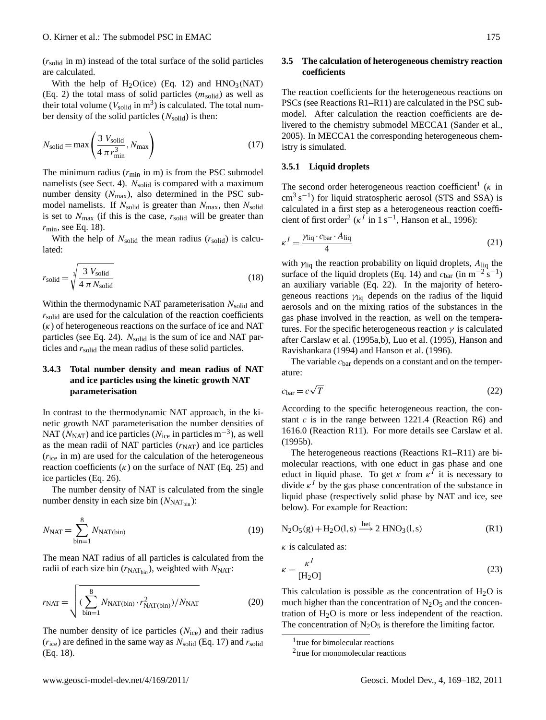$(r_{\text{solid}})$  in m) instead of the total surface of the solid particles are calculated.

With the help of  $H_2O(ice)$  (Eq. [12\)](#page-5-2) and  $HNO_3(NAT)$ (Eq. [2\)](#page-4-4) the total mass of solid particles  $(m_{solid})$  as well as their total volume ( $V_{\text{solid}}$  in m<sup>3</sup>) is calculated. The total number density of the solid particles  $(N_{\text{solid}})$  is then:

<span id="page-6-3"></span>
$$
N_{\text{solid}} = \max\left(\frac{3 V_{\text{solid}}}{4 \pi r_{\text{min}}^3}, N_{\text{max}}\right)
$$
 (17)

The minimum radius  $(r_{\text{min}}$  in m) is from the PSC submodel namelists (see Sect. [4\)](#page-9-0).  $N_{\text{solid}}$  is compared with a maximum number density  $(N_{\text{max}})$ , also determined in the PSC submodel namelists. If  $N_{\text{solid}}$  is greater than  $N_{\text{max}}$ , then  $N_{\text{solid}}$ is set to  $N_{\text{max}}$  (if this is the case,  $r_{\text{solid}}$  will be greater than  $r_{\rm min}$ , see Eq. [18\)](#page-6-2).

With the help of  $N_{\text{solid}}$  the mean radius  $(r_{\text{solid}})$  is calculated:

<span id="page-6-2"></span>
$$
r_{\text{solid}} = \sqrt[3]{\frac{3 \ V_{\text{solid}}}{4 \ \pi \ N_{\text{solid}}}}
$$
\n(18)

Within the thermodynamic NAT parameterisation  $N_{\text{solid}}$  and  $r_{\text{solid}}$  are used for the calculation of the reaction coefficients  $(\kappa)$  of heterogeneous reactions on the surface of ice and NAT particles (see Eq. [24\)](#page-7-0).  $N_{\text{solid}}$  is the sum of ice and NAT particles and  $r_{solid}$  the mean radius of these solid particles.

# **3.4.3 Total number density and mean radius of NAT and ice particles using the kinetic growth NAT parameterisation**

In contrast to the thermodynamic NAT approach, in the kinetic growth NAT parameterisation the number densities of NAT ( $N<sub>NAT</sub>$ ) and ice particles ( $N<sub>ice</sub>$  in particles m<sup>-3</sup>), as well as the mean radii of NAT particles  $(r<sub>NAT</sub>)$  and ice particles  $(r_{ice}$  in m) are used for the calculation of the heterogeneous reaction coefficients  $(\kappa)$  on the surface of NAT (Eq. [25\)](#page-7-1) and ice particles (Eq. [26\)](#page-7-2).

The number density of NAT is calculated from the single number density in each size bin  $(N<sub>NATbin</sub>)$ :

<span id="page-6-9"></span>
$$
N_{\text{NAT}} = \sum_{\text{bin}=1}^{8} N_{\text{NAT(bin)}} \tag{19}
$$

The mean NAT radius of all particles is calculated from the radii of each size bin  $(r_{\text{NAThin}})$ , weighted with  $N_{\text{NAT}}$ :

<span id="page-6-8"></span>
$$
r_{\text{NAT}} = \sqrt{\left(\sum_{\text{bin}=1}^{8} N_{\text{NAT(bin)}} \cdot r_{\text{NAT(bin)}}^2\right) / N_{\text{NAT}}}
$$
(20)

The number density of ice particles  $(N<sub>ice</sub>)$  and their radius  $(r_{\text{ice}})$  are defined in the same way as  $N_{\text{solid}}$  (Eq. [17\)](#page-6-3) and  $r_{\text{solid}}$ (Eq. [18\)](#page-6-2).

## <span id="page-6-0"></span>**3.5 The calculation of heterogeneous chemistry reaction coefficients**

The reaction coefficients for the heterogeneous reactions on PSCs (see Reactions [R1–R11\)](#page-1-0) are calculated in the PSC submodel. After calculation the reaction coefficients are delivered to the chemistry submodel MECCA1 [\(Sander et al.,](#page-13-11) [2005\)](#page-13-11). In MECCA1 the corresponding heterogeneous chemistry is simulated.

#### **3.5.1 Liquid droplets**

The second order heterogeneous reaction coefficient<sup>[1](#page-6-4)</sup> ( $\kappa$  in cm<sup>3</sup> s<sup>-1</sup>) for liquid stratospheric aerosol (STS and SSA) is calculated in a first step as a heterogeneous reaction coeffi-cient of first order<sup>[2](#page-6-5)</sup> ( $\kappa^I$  in 1 s<sup>-1</sup>, [Hanson et al., 1996\)](#page-12-28):

<span id="page-6-1"></span>
$$
\kappa^I = \frac{\gamma_{\text{liq}} \cdot c_{\text{bar}} \cdot A_{\text{liq}}}{4} \tag{21}
$$

with  $\gamma_{liq}$  the reaction probability on liquid droplets,  $A_{liq}$  the surface of the liquid droplets (Eq. [14\)](#page-5-3) and  $c_{bar}$  (in m<sup>-2</sup> s<sup>-1</sup>) an auxiliary variable (Eq. [22\)](#page-6-6). In the majority of heterogeneous reactions  $\gamma_{\text{liq}}$  depends on the radius of the liquid aerosols and on the mixing ratios of the substances in the gas phase involved in the reaction, as well on the temperatures. For the specific heterogeneous reaction  $\gamma$  is calculated after [Carslaw et al. \(1995a](#page-11-5)[,b\)](#page-11-0), [Luo et al.](#page-12-3) [\(1995\)](#page-12-3), [Hanson and](#page-12-29) [Ravishankara \(1994\)](#page-12-29) and [Hanson et al. \(1996\)](#page-12-28).

The variable  $c<sub>bar</sub>$  depends on a constant and on the temperature:

<span id="page-6-6"></span>
$$
c_{\text{bar}} = c\sqrt{T} \tag{22}
$$

According to the specific heterogeneous reaction, the constant  $c$  is in the range between 1221.4 (Reaction [R6\)](#page-1-0) and 1616.0 (Reaction [R11\)](#page-1-0). For more details see [Carslaw et al.](#page-11-0) [\(1995b\)](#page-11-0).

The heterogeneous reactions (Reactions [R1–R11\)](#page-1-0) are bimolecular reactions, with one educt in gas phase and one educt in liquid phase. To get  $\kappa$  from  $\kappa^I$  it is necessary to divide  $\kappa^I$  by the gas phase concentration of the substance in liquid phase (respectively solid phase by NAT and ice, see below). For example for Reaction:

$$
N_2O_5(g) + H_2O(l, s) \xrightarrow{het} 2 HNO_3(l, s)
$$
 (R1)

 $\kappa$  is calculated as:

<span id="page-6-7"></span>
$$
\kappa = \frac{\kappa^I}{\left[\text{H}_2\text{O}\right]} \tag{23}
$$

This calculation is possible as the concentration of  $H_2O$  is much higher than the concentration of  $N_2O_5$  and the concentration of  $H_2O$  is more or less independent of the reaction. The concentration of  $N_2O_5$  is therefore the limiting factor.

<span id="page-6-4"></span><sup>1</sup> true for bimolecular reactions

<span id="page-6-5"></span><sup>2</sup> true for monomolecular reactions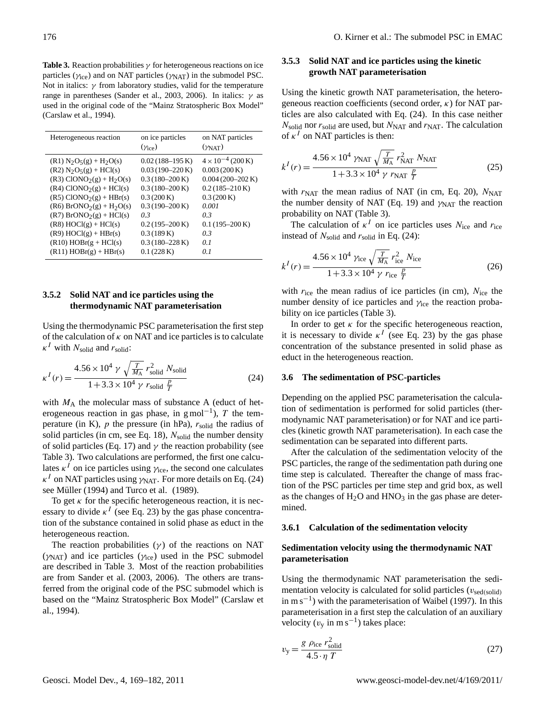<span id="page-7-3"></span>**Table 3.** Reaction probabilities  $\gamma$  for heterogeneous reactions on ice particles ( $\gamma_{ice}$ ) and on NAT particles ( $\gamma_{NAT}$ ) in the submodel PSC. Not in italics:  $\gamma$  from laboratory studies, valid for the temperature range in parentheses [\(Sander et al., 2003,](#page-13-19) [2006\)](#page-13-20). In italics:  $γ$  as used in the original code of the "Mainz Stratospheric Box Model" [\(Carslaw et al., 1994\)](#page-11-3).

| Heterogeneous reaction                                                                                                                                                                                                                                                                                                                                                      | on ice particles<br>$(\gamma_{ice})$                                                                                                                                                                                                    | on NAT particles<br>$(\gamma_{\text{NAT}})$                                                                                                                                                                             |
|-----------------------------------------------------------------------------------------------------------------------------------------------------------------------------------------------------------------------------------------------------------------------------------------------------------------------------------------------------------------------------|-----------------------------------------------------------------------------------------------------------------------------------------------------------------------------------------------------------------------------------------|-------------------------------------------------------------------------------------------------------------------------------------------------------------------------------------------------------------------------|
| $(R1) N2O5(g) + H2O(s)$<br>$(R2) N2O5(g) + HCl(s)$<br>$(R3)$ ClONO <sub>2</sub> $(g)$ + H <sub>2</sub> O(s)<br>$(R4) ClONO2(g) + HCl(s)$<br>$(R5)$ ClONO <sub>2</sub> $(g)$ + HBr(s)<br>$(R6)$ BrONO <sub>2</sub> $(g)$ + H <sub>2</sub> O(s)<br>$(R7)$ BrONO <sub>2</sub> $(g)$ + HCl(s)<br>$(R8) HOCI(g) + HCl(s)$<br>$(R9) HOCI(g) + HBr(s)$<br>$(R10) HOBr(g + HCl(s))$ | $0.02(188-195)$ K)<br>$0.03(190-220\,\mathrm{K})$<br>$0.3(180-200\,\mathrm{K})$<br>$0.3(180-200\,\mathrm{K})$<br>0.3(200 K)<br>$0.3(190-200\,\mathrm{K})$<br>03<br>$0.2(195-200\,\mathrm{K})$<br>0.3(189 K)<br>$0.3(180-228 \text{ K})$ | $4 \times 10^{-4}$ (200 K)<br>$0.003(200\,\mathrm{K})$<br>$0.004(200-202\text{ K})$<br>$0.2(185-210\,\mathrm{K})$<br>$0.3(200\,\mathrm{K})$<br>0.001<br>03<br>$0.1(195-200\,\mathrm{K})$<br>03<br>0 <sub>1</sub><br>0.1 |
| $(R11) HOBr(g) + HBr(s)$                                                                                                                                                                                                                                                                                                                                                    | 0.1(228 K)                                                                                                                                                                                                                              |                                                                                                                                                                                                                         |

## **3.5.2 Solid NAT and ice particles using the thermodynamic NAT parameterisation**

Using the thermodynamic PSC parameterisation the first step of the calculation of  $\kappa$  on NAT and ice particles is to calculate  $\kappa^I$  with  $N_{\text{solid}}$  and  $r_{\text{solid}}$ :

<span id="page-7-0"></span>
$$
\kappa^{I}(r) = \frac{4.56 \times 10^{4} \gamma \sqrt{\frac{T}{M_{\rm A}}} r_{\rm solid}^{2}}{1 + 3.3 \times 10^{4} \gamma r_{\rm solid} \frac{p}{T}}
$$
(24)

with  $M_A$  the molecular mass of substance A (educt of heterogeneous reaction in gas phase, in  $g \text{ mol}^{-1}$ ), T the temperature (in K),  $p$  the pressure (in hPa),  $r_{solid}$  the radius of solid particles (in cm, see Eq. [18\)](#page-6-2),  $N_{\text{solid}}$  the number density of solid particles (Eq. [17\)](#page-6-3) and  $\gamma$  the reaction probability (see Table [3\)](#page-7-3). Two calculations are performed, the first one calculates  $\kappa^I$  on ice particles using  $\gamma_{\text{ice}}$ , the second one calculates  $\kappa^I$  on NAT particles using  $\gamma_{\rm NAT}$ . For more details on Eq. [\(24\)](#page-7-0) see Müller [\(1994\)](#page-13-17) and [Turco et al. \(1989\)](#page-13-21).

To get  $\kappa$  for the specific heterogeneous reaction, it is necessary to divide  $\kappa^I$  (see Eq. [23\)](#page-6-7) by the gas phase concentration of the substance contained in solid phase as educt in the heterogeneous reaction.

The reaction probabilities  $(\gamma)$  of the reactions on NAT  $(\gamma_{\text{NAT}})$  and ice particles  $(\gamma_{\text{ice}})$  used in the PSC submodel are described in Table [3.](#page-7-3) Most of the reaction probabilities are from [Sander et al. \(2003,](#page-13-19) [2006\)](#page-13-20). The others are transferred from the original code of the PSC submodel which is based on the "Mainz Stratospheric Box Model" [\(Carslaw et](#page-11-3) [al., 1994\)](#page-11-3).

# **3.5.3 Solid NAT and ice particles using the kinetic growth NAT parameterisation**

Using the kinetic growth NAT parameterisation, the heterogeneous reaction coefficients (second order,  $\kappa$ ) for NAT particles are also calculated with Eq. [\(24\)](#page-7-0). In this case neither  $N_{\text{solid}}$  nor  $r_{\text{solid}}$  are used, but  $N_{\text{NAT}}$  and  $r_{\text{NAT}}$ . The calculation of  $\kappa^I$  on NAT particles is then:

<span id="page-7-1"></span>
$$
k^{I}(r) = \frac{4.56 \times 10^{4} \gamma_{\text{NAT}} \sqrt{\frac{T}{M_{\text{A}}}} r_{\text{NAT}}^{2} N_{\text{NAT}}}{1 + 3.3 \times 10^{4} \gamma r_{\text{NAT}} \frac{p}{T}}
$$
(25)

with  $r_{\text{NAT}}$  the mean radius of NAT (in cm, Eq. [20\)](#page-6-8),  $N_{\text{NAT}}$ the number density of NAT (Eq. [19\)](#page-6-9) and  $\gamma_{\text{NAT}}$  the reaction probability on NAT (Table [3\)](#page-7-3).

The calculation of  $\kappa^I$  on ice particles uses  $N_{\text{ice}}$  and  $r_{\text{ice}}$ instead of  $N_{\text{solid}}$  and  $r_{\text{solid}}$  in Eq. [\(24\)](#page-7-0):

<span id="page-7-2"></span>
$$
k^{I}(r) = \frac{4.56 \times 10^{4} \text{ Yice}}{1 + 3.3 \times 10^{4} \text{ Y rice}} \frac{r_{\text{ice}}^{2} \text{ Nice}}{T}
$$
(26)

with  $r_{\text{ice}}$  the mean radius of ice particles (in cm),  $N_{\text{ice}}$  the number density of ice particles and  $\gamma_{\text{ice}}$  the reaction probability on ice particles (Table [3\)](#page-7-3).

In order to get  $\kappa$  for the specific heterogeneous reaction, it is necessary to divide  $\kappa^I$  (see Eq. [23\)](#page-6-7) by the gas phase concentration of the substance presented in solid phase as educt in the heterogeneous reaction.

#### **3.6 The sedimentation of PSC-particles**

Depending on the applied PSC parameterisation the calculation of sedimentation is performed for solid particles (thermodynamic NAT parameterisation) or for NAT and ice particles (kinetic growth NAT parameterisation). In each case the sedimentation can be separated into different parts.

After the calculation of the sedimentation velocity of the PSC particles, the range of the sedimentation path during one time step is calculated. Thereafter the change of mass fraction of the PSC particles per time step and grid box, as well as the changes of  $H_2O$  and  $HNO_3$  in the gas phase are determined.

#### **3.6.1 Calculation of the sedimentation velocity**

# **Sedimentation velocity using the thermodynamic NAT parameterisation**

Using the thermodynamic NAT parameterisation the sedimentation velocity is calculated for solid particles  $(v_{\text{sed}(solid)}$ in m s−<sup>1</sup> ) with the parameterisation of [Waibel \(1997\)](#page-13-22). In this parameterisation in a first step the calculation of an auxiliary velocity ( $v_y$  in m s<sup>-1</sup>) takes place:

<span id="page-7-4"></span>
$$
v_{y} = \frac{g \rho_{\text{ice}} r_{\text{solid}}^2}{4.5 \cdot \eta T}
$$
 (27)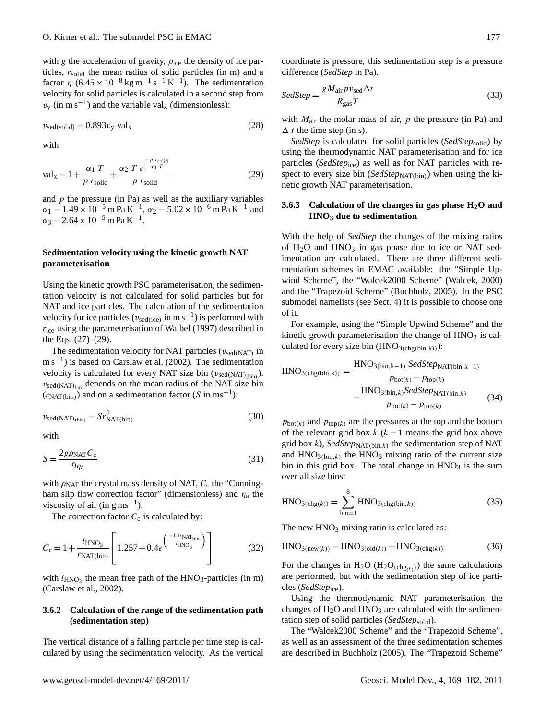with g the acceleration of gravity,  $\rho_{\text{ice}}$  the density of ice particles,  $r_{solid}$  the mean radius of solid particles (in m) and a factor  $\eta$  (6.45 × 10<sup>-8</sup> kg m<sup>-1</sup> s<sup>-1</sup> K<sup>-1</sup>). The sedimentation velocity for solid particles is calculated in a second step from  $v_y$  (in m s<sup>-1</sup>) and the variable val<sub>x</sub> (dimensionless):

$$
v_{\rm sed(solid)} = 0.893v_{\rm y} \,\, \text{val}_{\rm x} \tag{28}
$$

with

<span id="page-8-0"></span>
$$
\text{val}_x = 1 + \frac{\alpha_1 T}{p \ r_{\text{solid}}} + \frac{\alpha_2 T}{p \ r_{\text{solid}}} \frac{e^{\frac{-p \ r_{\text{solid}}}{\alpha_3 T}}}{p \ r_{\text{solid}}}
$$
(29)

and  $p$  the pressure (in Pa) as well as the auxiliary variables  $\alpha_1 = 1.49 \times 10^{-5}$  m Pa K<sup>-1</sup>,  $\alpha_2 = 5.02 \times 10^{-6}$  m Pa K<sup>-1</sup> and  $\alpha_3 = 2.64 \times 10^{-5}$  m Pa K<sup>-1</sup>.

## **Sedimentation velocity using the kinetic growth NAT parameterisation**

Using the kinetic growth PSC parameterisation, the sedimentation velocity is not calculated for solid particles but for NAT and ice particles. The calculation of the sedimentation velocity for ice particles ( $v_{\text{sed(ice)}}$  in m s<sup>-1</sup>) is performed with  $r_{\text{ice}}$  using the parameterisation of [Waibel](#page-13-22) [\(1997\)](#page-13-22) described in the Eqs. [\(27\)](#page-7-4)–[\(29\)](#page-8-0).

The sedimentation velocity for NAT particles ( $v_{\text{sed}(NAT)}$  in m s<sup>-1</sup>) is based on [Carslaw et al. \(2002\)](#page-11-1). The sedimentation velocity is calculated for every NAT size bin  $(v_{\text{sed}(\text{NAT})_{\text{(bin)}}}).$  $v_{\rm sed(NAT)bin}$  depends on the mean radius of the NAT size bin  $(r_{\text{NAT(bin)}})$  and on a sedimentation factor (S in ms<sup>-1</sup>):

$$
v_{\rm sed(NAT)_{\rm (bin)}} = S r_{\rm NAT(bin)}^2 \tag{30}
$$

with

$$
S = \frac{2g\rho_{\text{NAT}}C_{\text{c}}}{9\eta_{\text{a}}}
$$
\n(31)

with  $\rho_{\text{NAT}}$  the crystal mass density of NAT,  $C_c$  the "Cunningham slip flow correction factor" (dimensionless) and  $\eta_a$  the viscosity of air (in  $g \text{ ms}^{-1}$ ).

The correction factor  $C_c$  is calculated by:

$$
C_{\rm c} = 1 + \frac{l_{\rm HNO_3}}{r_{\rm NAT(bin)}} \left[ 1.257 + 0.4e^{\left(\frac{-1.1r_{\rm NAT_{bin}}}{l_{\rm HNO_3}}\right)} \right]
$$
(32)

with  $l_{HNO_3}$  the mean free path of the  $HNO_3$ -particles (in m) [\(Carslaw et al., 2002\)](#page-11-1).

## **3.6.2 Calculation of the range of the sedimentation path (sedimentation step)**

The vertical distance of a falling particle per time step is calculated by using the sedimentation velocity. As the vertical coordinate is pressure, this sedimentation step is a pressure difference (*SedStep* in Pa).

$$
SedStep = \frac{g M_{\text{air}} p v_{\text{sed}} \Delta t}{R_{\text{gas}} T}
$$
\n(33)

with  $M_{\text{air}}$  the molar mass of air,  $p$  the pressure (in Pa) and  $\Delta t$  the time step (in s).

*SedStep* is calculated for solid particles (*SedStep*solid) by using the thermodynamic NAT parameterisation and for ice particles (*SedStep*<sub>ice</sub>) as well as for NAT particles with respect to every size bin (*SedStep*<sub>NAT(bin</sub>) when using the kinetic growth NAT parameterisation.

## <span id="page-8-1"></span>**3.6.3 Calculation of the changes in gas phase H2O and HNO<sup>3</sup> due to sedimentation**

With the help of *SedStep* the changes of the mixing ratios of  $H_2O$  and  $HNO_3$  in gas phase due to ice or NAT sedimentation are calculated. There are three different sedimentation schemes in EMAC available: the "Simple Upwind Scheme", the "Walcek2000 Scheme" [\(Walcek, 2000\)](#page-13-23) and the "Trapezoid Scheme" [\(Buchholz, 2005\)](#page-11-12). In the PSC submodel namelists (see Sect. [4\)](#page-9-0) it is possible to choose one of it.

For example, using the "Simple Upwind Scheme" and the kinetic growth parameterisation the change of  $HNO<sub>3</sub>$  is calculated for every size bin  $(HNO<sub>3(chg(bin,k))</sub>)$ :

$$
HNO3(chg(bin,k)) = \frac{HNO3(bin,k-1) SedStepNAT(bin,k-1)}{pbot(k) - ptop(k) - \frac{HNO3(bin,k) SedStepNAT(bin,k)}{pbot(k) - ptop(k)}}
$$
(34)

 $p_{bot(k)}$  and  $p_{top(k)}$  are the pressures at the top and the bottom of the relevant grid box  $k$  ( $k-1$  means the grid box above grid box  $k$ ), *SedStep*<sub>NAT(bin, $k$ ) the sedimentation step of NAT</sub> and  $HNO<sub>3(bin,k)</sub>$  the  $HNO<sub>3</sub>$  mixing ratio of the current size bin in this grid box. The total change in  $HNO<sub>3</sub>$  is the sum over all size bins:

$$
HNO3(chg(k)) = \sum_{\text{bin}=1}^{8} HNO3(chg(bin,k))
$$
 (35)

The new  $HNO<sub>3</sub>$  mixing ratio is calculated as:

$$
HNO3(new(k)) = HNO3(old(k)) + HNO3(chg(k))
$$
 (36)

For the changes in H<sub>2</sub>O (H<sub>2</sub>O<sub>(chg<sub>(k)</sub>)) the same calculations</sub> are performed, but with the sedimentation step of ice particles (*SedStep*<sub>ice</sub>).

Using the thermodynamic NAT parameterisation the changes of  $H_2O$  and  $HNO_3$  are calculated with the sedimentation step of solid particles (*SedStep*solid).

The "Walcek2000 Scheme" and the "Trapezoid Scheme", as well as an assessment of the three sedimentation schemes are described in [Buchholz](#page-11-12) [\(2005\)](#page-11-12). The "Trapezoid Scheme"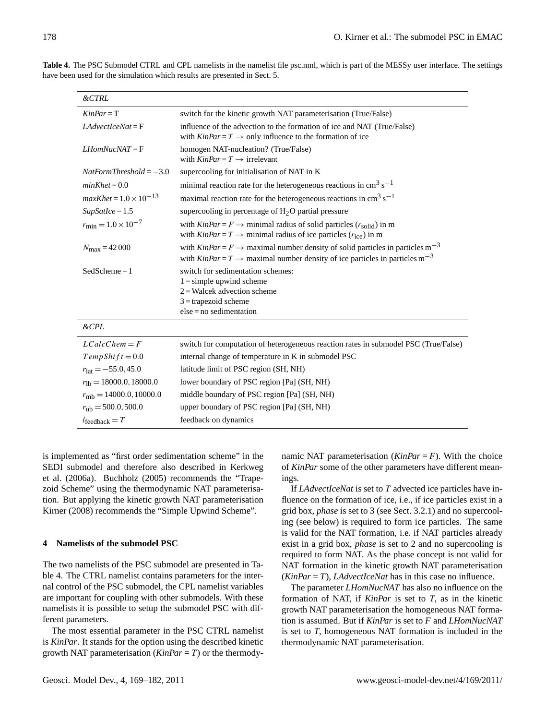<span id="page-9-1"></span>

| $\& CTRL$                          |                                                                                                                                                                                                                              |
|------------------------------------|------------------------------------------------------------------------------------------------------------------------------------------------------------------------------------------------------------------------------|
| $KinPar = T$                       | switch for the kinetic growth NAT parameterisation (True/False)                                                                                                                                                              |
| $LAdvectIceNat = F$                | influence of the advection to the formation of ice and NAT (True/False)<br>with $KinPar = T \rightarrow$ only influence to the formation of ice                                                                              |
| $LH$ <sub>om</sub> NucNAT = F      | homogen NAT-nucleation? (True/False)<br>with $KinPar = T \rightarrow$ irrelevant                                                                                                                                             |
| $NatFormThreshold = -3.0$          | supercooling for initialisation of NAT in K                                                                                                                                                                                  |
| $minKhet = 0.0$                    | minimal reaction rate for the heterogeneous reactions in $\text{cm}^3 \text{ s}^{-1}$                                                                                                                                        |
| $maxKhet = 1.0 \times 10^{-13}$    | maximal reaction rate for the heterogeneous reactions in $\text{cm}^3 \text{ s}^{-1}$                                                                                                                                        |
| $SupSatLee = 1.5$                  | supercooling in percentage of $H2O$ partial pressure                                                                                                                                                                         |
| $r_{\rm min} = 1.0 \times 10^{-7}$ | with $KinPar = F \rightarrow$ minimal radius of solid particles $(r_{solid})$ in m<br>with $KinPar = T \rightarrow$ minimal radius of ice particles ( $r_{ice}$ ) in m                                                       |
| $N_{\rm max} = 42000$              | with $\textit{KinPar} = F \rightarrow$ maximal number density of solid particles in particles m <sup>-3</sup><br>with $\textit{KinPar} = T \rightarrow$ maximal number density of ice particles in particles m <sup>-3</sup> |
| $Sed Scheme = 1$                   | switch for sedimentation schemes:<br>$1 =$ simple upwind scheme<br>$2$ = Walcek advection scheme<br>$3 =$ trapezoid scheme<br>$else = no sedimentation$                                                                      |
| $\&$ CPL                           |                                                                                                                                                                                                                              |
| $LCalcChem = F$                    | switch for computation of heterogeneous reaction rates in submodel PSC (True/False)                                                                                                                                          |
| $TempShift = 0.0$                  | internal change of temperature in K in submodel PSC                                                                                                                                                                          |
| $r_{\text{lat}} = -55.0, 45.0$     | latitude limit of PSC region (SH, NH)                                                                                                                                                                                        |
| $r_{\text{lb}} = 18000.0, 18000.0$ | lower boundary of PSC region [Pa] (SH, NH)                                                                                                                                                                                   |
| $r_{\rm mb} = 14000.0, 10000.0$    | middle boundary of PSC region [Pa] (SH, NH)                                                                                                                                                                                  |

**Table 4.** The PSC Submodel CTRL and CPL namelists in the namelist file psc.nml, which is part of the MESSy user interface. The settings have been used for the simulation which results are presented in Sect. [5.](#page-11-11)

is implemented as "first order sedimentation scheme" in the SEDI submodel and therefore also described in [Kerkweg](#page-12-18) [et al.](#page-12-18) [\(2006a\)](#page-12-18). [Buchholz \(2005\)](#page-11-12) recommends the "Trapezoid Scheme" using the thermodynamic NAT parameterisation. But applying the kinetic growth NAT parameterisation [Kirner \(2008\)](#page-12-23) recommends the "Simple Upwind Scheme".

 $l_{\text{feedback}} = T$  feedback on dynamics

 $r_{\rm ub}$  = 500.0, 500.0 upper boundary of PSC region [Pa] (SH, NH)

#### <span id="page-9-0"></span>**4 Namelists of the submodel PSC**

The two namelists of the PSC submodel are presented in Table [4.](#page-9-1) The CTRL namelist contains parameters for the internal control of the PSC submodel, the CPL namelist variables are important for coupling with other submodels. With these namelists it is possible to setup the submodel PSC with different parameters.

The most essential parameter in the PSC CTRL namelist is *KinPar*. It stands for the option using the described kinetic growth NAT parameterisation (*KinPar = T*) or the thermodynamic NAT parameterisation  $(KinPar = F)$ . With the choice of *KinPar* some of the other parameters have different meanings.

If *LAdvectIceNat* is set to *T* advected ice particles have influence on the formation of ice, i.e., if ice particles exist in a grid box, *phase* is set to 3 (see Sect. [3.2.1\)](#page-3-0) and no supercooling (see below) is required to form ice particles. The same is valid for the NAT formation, i.e. if NAT particles already exist in a grid box, *phase* is set to 2 and no supercooling is required to form NAT. As the phase concept is not valid for NAT formation in the kinetic growth NAT parameterisation (*KinPar = T*), *LAdvectIceNat* has in this case no influence.

The parameter *LHomNucNAT* has also no influence on the formation of NAT, if *KinPar* is set to *T*, as in the kinetic growth NAT parameterisation the homogeneous NAT formation is assumed. But if *KinPar* is set to *F* and *LHomNucNAT* is set to *T*, homogeneous NAT formation is included in the thermodynamic NAT parameterisation.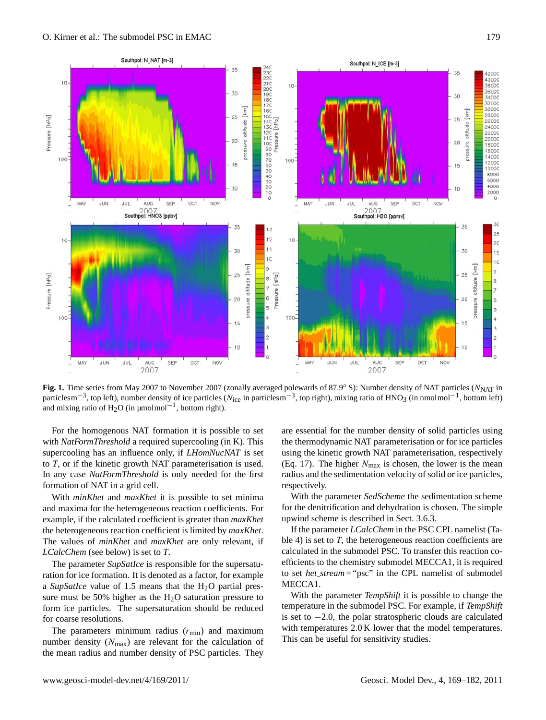

<span id="page-10-0"></span>**Fig. 1.** Time series from May 2007 to November 2007 (zonally averaged polewards of 87.9° S): Number density of NAT particles (N<sub>NAT</sub> in particlesm<sup>-3</sup>, top left), number density of ice particles ( $N_{\text{ice}}$  in particlesm<sup>-3</sup>, top right), mixing ratio of HNO<sub>3</sub> (in nmolmol<sup>-1</sup>, bottom left) and mixing ratio of  $H_2O$  (in µmolmol<sup>-1</sup>, bottom right).

For the homogenous NAT formation it is possible to set with *NatFormThreshold* a required supercooling (in K). This supercooling has an influence only, if *LHomNucNAT* is set to *T*, or if the kinetic growth NAT parameterisation is used. In any case *NatFormThreshold* is only needed for the first formation of NAT in a grid cell.

With *minKhet* and *maxKhet* it is possible to set minima and maxima for the heterogeneous reaction coefficients. For example, if the calculated coefficient is greater than *maxKhet* the heterogeneous reaction coefficient is limited by *maxKhet*. The values of *minKhet* and *maxKhet* are only relevant, if *LCalcChem* (see below) is set to *T*.

The parameter *SupSatIce* is responsible for the supersaturation for ice formation. It is denoted as a factor, for example a *SupSatIce* value of 1.5 means that the H<sub>2</sub>O partial pressure must be 50% higher as the  $H_2O$  saturation pressure to form ice particles. The supersaturation should be reduced for coarse resolutions.

The parameters minimum radius  $(r_{min})$  and maximum number density  $(N_{\text{max}})$  are relevant for the calculation of the mean radius and number density of PSC particles. They

are essential for the number density of solid particles using the thermodynamic NAT parameterisation or for ice particles using the kinetic growth NAT parameterisation, respectively (Eq. [17\)](#page-6-3). The higher  $N_{\text{max}}$  is chosen, the lower is the mean radius and the sedimentation velocity of solid or ice particles, respectively.

With the parameter *SedScheme* the sedimentation scheme for the denitrification and dehydration is chosen. The simple upwind scheme is described in Sect. [3.6.3.](#page-8-1)

If the parameter *LCalcChem* in the PSC CPL namelist (Table [4\)](#page-9-1) is set to *T*, the heterogeneous reaction coefficients are calculated in the submodel PSC. To transfer this reaction coefficients to the chemistry submodel MECCA1, it is required to set *het stream* = "psc" in the CPL namelist of submodel MECCA1.

With the parameter *TempShift* it is possible to change the temperature in the submodel PSC. For example, if *TempShift* is set to −2.0, the polar stratospheric clouds are calculated with temperatures  $2.0 \text{ K}$  lower that the model temperatures. This can be useful for sensitivity studies.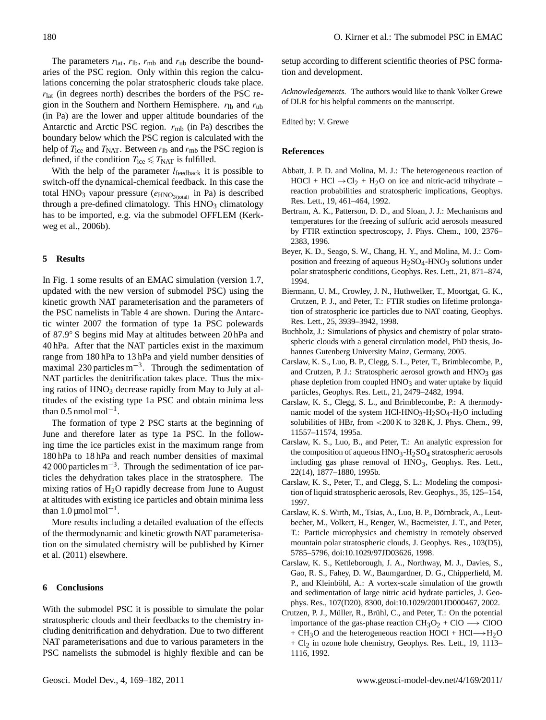The parameters  $r_{\text{lat}}$ ,  $r_{\text{lb}}$ ,  $r_{\text{mb}}$  and  $r_{\text{ub}}$  describe the boundaries of the PSC region. Only within this region the calculations concerning the polar stratospheric clouds take place.  $r_{\text{lat}}$  (in degrees north) describes the borders of the PSC region in the Southern and Northern Hemisphere.  $r_{\text{lb}}$  and  $r_{\text{ub}}$ (in Pa) are the lower and upper altitude boundaries of the Antarctic and Arctic PSC region.  $r_{\rm mb}$  (in Pa) describes the boundary below which the PSC region is calculated with the help of  $T_{\text{ice}}$  and  $T_{\text{NAT}}$ . Between  $r_{\text{lb}}$  and  $r_{\text{mb}}$  the PSC region is defined, if the condition  $T_{\text{ice}} \leq T_{\text{NAT}}$  is fulfilled.

With the help of the parameter  $l_{\text{feedback}}$  it is possible to switch-off the dynamical-chemical feedback. In this case the total  $HNO<sub>3</sub>$  vapour pressure ( $e<sub>HNO<sub>3(total</sub>)</sub>$  in Pa) is described through a pre-defined climatology. This HNO<sub>3</sub> climatology has to be imported, e.g. via the submodel OFFLEM [\(Kerk](#page-12-17)[weg et al., 2006b\)](#page-12-17).

## <span id="page-11-11"></span>**5 Results**

In Fig. [1](#page-10-0) some results of an EMAC simulation (version 1.7, updated with the new version of submodel PSC) using the kinetic growth NAT parameterisation and the parameters of the PSC namelists in Table [4](#page-9-1) are shown. During the Antarctic winter 2007 the formation of type 1a PSC polewards of 87.9◦ S begins mid May at altitudes between 20 hPa and 40 hPa. After that the NAT particles exist in the maximum range from 180 hPa to 13 hPa and yield number densities of maximal 230 particles  $m^{-3}$ . Through the sedimentation of NAT particles the denitrification takes place. Thus the mixing ratios of  $HNO<sub>3</sub>$  decrease rapidly from May to July at altitudes of the existing type 1a PSC and obtain minima less than  $0.5$  nmol mol<sup>-1</sup>.

The formation of type 2 PSC starts at the beginning of June and therefore later as type 1a PSC. In the following time the ice particles exist in the maximum range from 180 hPa to 18 hPa and reach number densities of maximal 42 000 particles  $m^{-3}$ . Through the sedimentation of ice particles the dehydration takes place in the stratosphere. The mixing ratios of  $H_2O$  rapidly decrease from June to August at altitudes with existing ice particles and obtain minima less than  $1.0 \mu$ mol mol<sup>-1</sup>.

More results including a detailed evaluation of the effects of the thermodynamic and kinetic growth NAT parameterisation on the simulated chemistry will be published by [Kirner](#page-12-30) [et al.](#page-12-30) [\(2011\)](#page-12-30) elsewhere.

### **6 Conclusions**

With the submodel PSC it is possible to simulate the polar stratospheric clouds and their feedbacks to the chemistry including denitrification and dehydration. Due to two different NAT parameterisations and due to various parameters in the PSC namelists the submodel is highly flexible and can be

setup according to different scientific theories of PSC formation and development.

*Acknowledgements.* The authors would like to thank Volker Grewe of DLR for his helpful comments on the manuscript.

Edited by: V. Grewe

#### **References**

- <span id="page-11-9"></span>Abbatt, J. P. D. and Molina, M. J.: The heterogeneous reaction of  $HOCI + HCl \rightarrow Cl<sub>2</sub> + H<sub>2</sub>O$  on ice and nitric-acid trihydrate – reaction probabilities and stratospheric implications, Geophys. Res. Lett., 19, 461–464, 1992.
- <span id="page-11-8"></span>Bertram, A. K., Patterson, D. D., and Sloan, J. J.: Mechanisms and temperatures for the freezing of sulfuric acid aerosols measured by FTIR extinction spectroscopy, J. Phys. Chem., 100, 2376– 2383, 1996.
- <span id="page-11-2"></span>Beyer, K. D., Seago, S. W., Chang, H. Y., and Molina, M. J.: Composition and freezing of aqueous  $H_2SO_4$ -HNO<sub>3</sub> solutions under polar stratospheric conditions, Geophys. Res. Lett., 21, 871–874, 1994.
- <span id="page-11-6"></span>Biermann, U. M., Crowley, J. N., Huthwelker, T., Moortgat, G. K., Crutzen, P. J., and Peter, T.: FTIR studies on lifetime prolongation of stratospheric ice particles due to NAT coating, Geophys. Res. Lett., 25, 3939–3942, 1998.
- <span id="page-11-12"></span>Buchholz, J.: Simulations of physics and chemistry of polar stratospheric clouds with a general circulation model, PhD thesis, Johannes Gutenberg University Mainz, Germany, 2005.
- <span id="page-11-3"></span>Carslaw, K. S., Luo, B. P., Clegg, S. L., Peter, T., Brimblecombe, P., and Crutzen, P. J.: Stratospheric aerosol growth and  $HNO<sub>3</sub>$  gas phase depletion from coupled  $HNO<sub>3</sub>$  and water uptake by liquid particles, Geophys. Res. Lett., 21, 2479–2482, 1994.
- <span id="page-11-5"></span>Carslaw, K. S., Clegg, S. L., and Brimblecombe, P.: A thermodynamic model of the system HCl-HNO<sub>3</sub>-H<sub>2</sub>SO<sub>4</sub>-H<sub>2</sub>O including solubilities of HBr, from <200 K to 328 K, J. Phys. Chem., 99, 11557–11574, 1995a.
- <span id="page-11-0"></span>Carslaw, K. S., Luo, B., and Peter, T.: An analytic expression for the composition of aqueous  $HNO_3-H_2SO_4$  stratospheric aerosols including gas phase removal of  $HNO<sub>3</sub>$ , Geophys. Res. Lett., 22(14), 1877–1880, 1995b.
- <span id="page-11-4"></span>Carslaw, K. S., Peter, T., and Clegg, S. L.: Modeling the composition of liquid stratospheric aerosols, Rev. Geophys., 35, 125–154, 1997.
- <span id="page-11-7"></span>Carslaw, K. S. Wirth, M., Tsias, A., Luo, B. P., Dörnbrack, A., Leutbecher, M., Volkert, H., Renger, W., Bacmeister, J. T., and Peter, T.: Particle microphysics and chemistry in remotely observed mountain polar stratospheric clouds, J. Geophys. Res., 103(D5), 5785–5796, [doi:10.1029/97JD03626,](http://dx.doi.org/10.1029/97JD03626) 1998.
- <span id="page-11-1"></span>Carslaw, K. S., Kettleborough, J. A., Northway, M. J., Davies, S., Gao, R. S., Fahey, D. W., Baumgardner, D. G., Chipperfield, M. P., and Kleinböhl, A.: A vortex-scale simulation of the growth and sedimentation of large nitric acid hydrate particles, J. Geophys. Res., 107(D20), 8300, [doi:10.1029/2001JD000467,](http://dx.doi.org/10.1029/2001JD000467) 2002.
- <span id="page-11-10"></span>Crutzen, P. J., Müller, R., Brühl, C., and Peter, T.: On the potential importance of the gas-phase reaction  $CH_3O_2 + ClO \longrightarrow ClOO$ + CH<sub>3</sub>O and the heterogeneous reaction HOCl + HCl→+H<sub>2</sub>O  $+ Cl<sub>2</sub>$  in ozone hole chemistry, Geophys. Res. Lett., 19, 1113– 1116, 1992.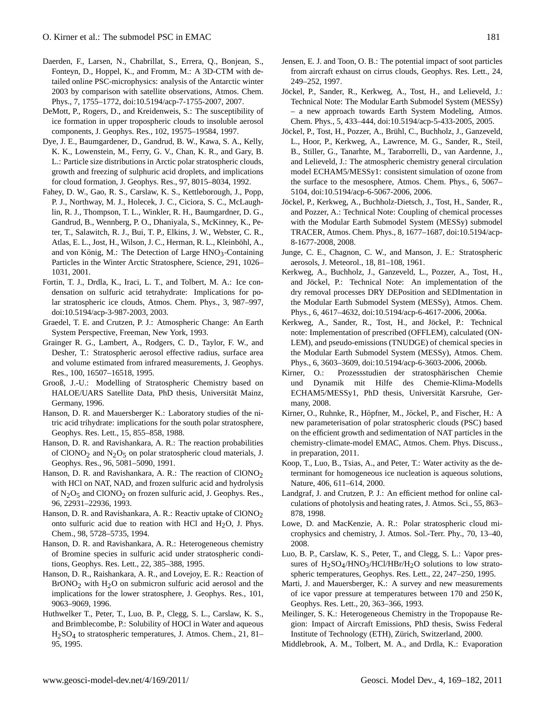- <span id="page-12-6"></span>Daerden, F., Larsen, N., Chabrillat, S., Errera, Q., Bonjean, S., Fonteyn, D., Hoppel, K., and Fromm, M.: A 3D-CTM with detailed online PSC-microphysics: analysis of the Antarctic winter 2003 by comparison with satellite observations, Atmos. Chem. Phys., 7, 1755–1772, [doi:10.5194/acp-7-1755-2007,](http://dx.doi.org/10.5194/acp-7-1755-2007) 2007.
- <span id="page-12-9"></span>DeMott, P., Rogers, D., and Kreidenweis, S.: The susceptibility of ice formation in upper tropospheric clouds to insoluble aerosol components, J. Geophys. Res., 102, 19575–19584, 1997.
- <span id="page-12-7"></span>Dye, J. E., Baumgardener, D., Gandrud, B. W., Kawa, S. A., Kelly, K. K., Lowenstein, M., Ferry, G. V., Chan, K. R., and Gary, B. L.: Particle size distributions in Arctic polar stratospheric clouds, growth and freezing of sulphuric acid droplets, and implications for cloud formation, J. Geophys. Res., 97, 8015–8034, 1992.
- <span id="page-12-26"></span>Fahey, D. W., Gao, R. S., Carslaw, K. S., Kettleborough, J., Popp, P. J., Northway, M. J., Holecek, J. C., Ciciora, S. C., McLaughlin, R. J., Thompson, T. L., Winkler, R. H., Baumgardner, D. G., Gandrud, B., Wennberg, P. O., Dhaniyala, S., McKinney, K., Peter, T., Salawitch, R. J., Bui, T. P., Elkins, J. W., Webster, C. R., Atlas, E. L., Jost, H., Wilson, J. C., Herman, R. L., Kleinböhl, A., and von König, M.: The Detection of Large  $HNO<sub>3</sub>$ -Containing Particles in the Winter Arctic Stratosphere, Science, 291, 1026– 1031, 2001.
- <span id="page-12-11"></span>Fortin, T. J., Drdla, K., Iraci, L. T., and Tolbert, M. A.: Ice condensation on sulfuric acid tetrahydrate: Implications for polar stratospheric ice clouds, Atmos. Chem. Phys., 3, 987–997, [doi:10.5194/acp-3-987-2003,](http://dx.doi.org/10.5194/acp-3-987-2003) 2003.
- <span id="page-12-14"></span>Graedel, T. E. and Crutzen, P. J.: Atmospheric Change: An Earth System Perspective, Freeman, New York, 1993.
- <span id="page-12-27"></span>Grainger R. G., Lambert, A., Rodgers, C. D., Taylor, F. W., and Desher, T.: Stratospheric aerosol effective radius, surface area and volume estimated from infrared measurements, J. Geophys. Res., 100, 16507–16518, 1995.
- <span id="page-12-21"></span>Grooß, J.-U.: Modelling of Stratospheric Chemistry based on HALOE/UARS Satellite Data, PhD thesis, Universität Mainz, Germany, 1996.
- <span id="page-12-1"></span>Hanson, D. R. and Mauersberger K.: Laboratory studies of the nitric acid trihydrate: implications for the south polar stratosphere, Geophys. Res. Lett., 15, 855–858, 1988.
- <span id="page-12-12"></span>Hanson, D. R. and Ravishankara, A. R.: The reaction probabilities of ClONO<sub>2</sub> and N<sub>2</sub>O<sub>5</sub> on polar stratospheric cloud materials, J. Geophys. Res., 96, 5081–5090, 1991.
- <span id="page-12-13"></span>Hanson, D. R. and Ravishankara, A. R.: The reaction of ClONO<sub>2</sub> with HCl on NAT, NAD, and frozen sulfuric acid and hydrolysis of  $N_2O_5$  and ClONO<sub>2</sub> on frozen sulfuric acid, J. Geophys. Res., 96, 22931–22936, 1993.
- <span id="page-12-29"></span>Hanson, D. R. and Ravishankara, A. R.: Reactiv uptake of ClONO<sub>2</sub> onto sulfuric acid due to reation with HCl and  $H<sub>2</sub>O$ , J. Phys. Chem., 98, 5728–5735, 1994.
- <span id="page-12-25"></span>Hanson, D. R. and Ravishankara, A. R.: Heterogeneous chemistry of Bromine species in sulfuric acid under stratospheric conditions, Geophys. Res. Lett., 22, 385–388, 1995.
- <span id="page-12-28"></span>Hanson, D. R., Raishankara, A. R., and Lovejoy, E. R.: Reaction of  $BrONO<sub>2</sub>$  with  $H<sub>2</sub>O$  on submicron sulfuric acid aerosol and the implications for the lower stratosphere, J. Geophys. Res., 101, 9063–9069, 1996.
- <span id="page-12-24"></span>Huthwelker T., Peter, T., Luo, B. P., Clegg, S. L., Carslaw, K. S., and Brimblecombe, P.: Solubility of HOCl in Water and aqueous H2SO4 to stratospheric temperatures, J. Atmos. Chem., 21, 81– 95, 1995.
- <span id="page-12-10"></span>Jensen, E. J. and Toon, O. B.: The potential impact of soot particles from aircraft exhaust on cirrus clouds, Geophys. Res. Lett., 24, 249–252, 1997.
- <span id="page-12-16"></span>Jöckel, P., Sander, R., Kerkweg, A., Tost, H., and Lelieveld, J.: Technical Note: The Modular Earth Submodel System (MESSy) – a new approach towards Earth System Modeling, Atmos. Chem. Phys., 5, 433–444, [doi:10.5194/acp-5-433-2005,](http://dx.doi.org/10.5194/acp-5-433-2005) 2005.
- <span id="page-12-15"></span>Jöckel, P., Tost, H., Pozzer, A., Brühl, C., Buchholz, J., Ganzeveld, L., Hoor, P., Kerkweg, A., Lawrence, M. G., Sander, R., Steil, B., Stiller, G., Tanarhte, M., Taraborrelli, D., van Aardenne, J., and Lelieveld, J.: The atmospheric chemistry general circulation model ECHAM5/MESSy1: consistent simulation of ozone from the surface to the mesosphere, Atmos. Chem. Phys., 6, 5067– 5104, [doi:10.5194/acp-6-5067-2006,](http://dx.doi.org/10.5194/acp-6-5067-2006) 2006.
- <span id="page-12-20"></span>Jöckel, P., Kerkweg, A., Buchholz-Dietsch, J., Tost, H., Sander, R., and Pozzer, A.: Technical Note: Coupling of chemical processes with the Modular Earth Submodel System (MESSy) submodel TRACER, Atmos. Chem. Phys., 8, 1677–1687, [doi:10.5194/acp-](http://dx.doi.org/10.5194/acp-8-1677-2008)[8-1677-2008,](http://dx.doi.org/10.5194/acp-8-1677-2008) 2008.
- <span id="page-12-4"></span>Junge, C. E., Chagnon, C. W., and Manson, J. E.: Stratospheric aerosols, J. Meteorol., 18, 81–108, 1961.
- <span id="page-12-18"></span>Kerkweg, A., Buchholz, J., Ganzeveld, L., Pozzer, A., Tost, H., and Jöckel, P.: Technical Note: An implementation of the dry removal processes DRY DEPosition and SEDImentation in the Modular Earth Submodel System (MESSy), Atmos. Chem. Phys., 6, 4617–4632, [doi:10.5194/acp-6-4617-2006,](http://dx.doi.org/10.5194/acp-6-4617-2006) 2006a.
- <span id="page-12-17"></span>Kerkweg, A., Sander, R., Tost, H., and Jöckel, P.: Technical note: Implementation of prescribed (OFFLEM), calculated (ON-LEM), and pseudo-emissions (TNUDGE) of chemical species in the Modular Earth Submodel System (MESSy), Atmos. Chem. Phys., 6, 3603–3609, [doi:10.5194/acp-6-3603-2006,](http://dx.doi.org/10.5194/acp-6-3603-2006) 2006b.
- <span id="page-12-23"></span>Kirner, O.: Prozessstudien der stratosphärischen Chemie und Dynamik mit Hilfe des Chemie-Klima-Modells ECHAM5/MESSy1, PhD thesis, Universität Karsruhe, Germany, 2008.
- <span id="page-12-30"></span>Kirner, O., Ruhnke, R., Höpfner, M., Jöckel, P., and Fischer, H.: A new parameterisation of polar stratospheric clouds (PSC) based on the efficient growth and sedimentation of NAT particles in the chemistry-climate-model EMAC, Atmos. Chem. Phys. Discuss., in preparation, 2011.
- <span id="page-12-8"></span>Koop, T., Luo, B., Tsias, A., and Peter, T.: Water activity as the determinant for homogeneous ice nucleation is aqueous solutions, Nature, 406, 611–614, 2000.
- <span id="page-12-19"></span>Landgraf, J. and Crutzen, P. J.: An efficient method for online calculations of photolysis and heating rates, J. Atmos. Sci., 55, 863– 878, 1998.
- <span id="page-12-2"></span>Lowe, D. and MacKenzie, A. R.: Polar stratospheric cloud microphysics and chemistry, J. Atmos. Sol.-Terr. Phy., 70, 13–40, 2008.
- <span id="page-12-3"></span>Luo, B. P., Carslaw, K. S., Peter, T., and Clegg, S. L.: Vapor pressures of  $H_2SO_4/HNO_3/HCl/HBr/H_2O$  solutions to low stratospheric temperatures, Geophys. Res. Lett., 22, 247–250, 1995.
- <span id="page-12-0"></span>Marti, J. and Mauersberger, K.: A survey and new measurements of ice vapor pressure at temperatures between 170 and 250 K, Geophys. Res. Lett., 20, 363–366, 1993.
- <span id="page-12-22"></span>Meilinger, S. K.: Heterogeneous Chemistry in the Tropopause Region: Impact of Aircraft Emissions, PhD thesis, Swiss Federal Institute of Technology (ETH), Zurich, Switzerland, 2000. ¨
- <span id="page-12-5"></span>Middlebrook, A. M., Tolbert, M. A., and Drdla, K.: Evaporation